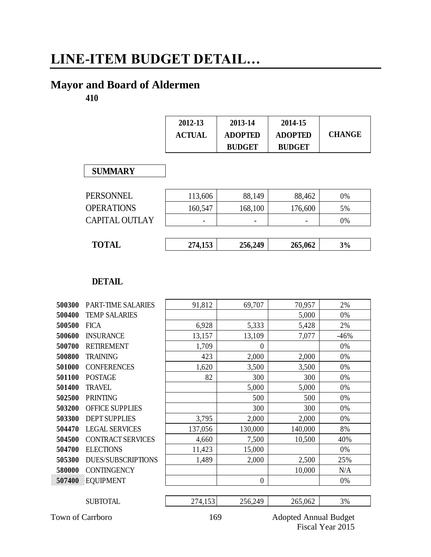# **LINE-ITEM BUDGET DETAIL…**

## **Mayor and Board of Aldermen**

**410**

| 2012-13       | 2013-14        | 2014-15        |               |
|---------------|----------------|----------------|---------------|
| <b>ACTUAL</b> | <b>ADOPTED</b> | <b>ADOPTED</b> | <b>CHANGE</b> |
|               | <b>BUDGET</b>  | <b>BUDGET</b>  |               |

#### **SUMMARY**

| <b>SUMMARY</b>        |         |         |         |    |
|-----------------------|---------|---------|---------|----|
| <b>PERSONNEL</b>      | 113,606 | 88,149  | 88,462  | 0% |
| <b>OPERATIONS</b>     | 160,547 | 168,100 | 176,600 | 5% |
| <b>CAPITAL OUTLAY</b> |         |         |         | 0% |
|                       |         |         |         |    |
| <b>TOTAL</b>          | 274,153 | 256,249 | 265,062 | 3% |

| 'OT<br>ັ | $\overline{ }$<br>21 T.LJJ | .6,249<br>, 756 | $\sim$<br>5.062<br>265 | эΩ.<br>$\%$<br>ີ |
|----------|----------------------------|-----------------|------------------------|------------------|
|          |                            |                 |                        |                  |

|        | <b>DETAIL</b>             |         |                |         |        |
|--------|---------------------------|---------|----------------|---------|--------|
| 500300 | <b>PART-TIME SALARIES</b> | 91,812  | 69,707         | 70,957  | 2%     |
| 500400 | <b>TEMP SALARIES</b>      |         |                | 5,000   | 0%     |
| 500500 | <b>FICA</b>               | 6,928   | 5,333          | 5,428   | 2%     |
| 500600 | <b>INSURANCE</b>          | 13,157  | 13,109         | 7,077   | $-46%$ |
| 500700 | <b>RETIREMENT</b>         | 1,709   | $\theta$       |         | 0%     |
| 500800 | <b>TRAINING</b>           | 423     | 2,000          | 2,000   | 0%     |
| 501000 | <b>CONFERENCES</b>        | 1,620   | 3,500          | 3,500   | 0%     |
| 501100 | <b>POSTAGE</b>            | 82      | 300            | 300     | 0%     |
| 501400 | <b>TRAVEL</b>             |         | 5,000          | 5,000   | 0%     |
| 502500 | <b>PRINTING</b>           |         | 500            | 500     | 0%     |
| 503200 | <b>OFFICE SUPPLIES</b>    |         | 300            | 300     | 0%     |
| 503300 | <b>DEPT SUPPLIES</b>      | 3,795   | 2,000          | 2,000   | 0%     |
| 504470 | <b>LEGAL SERVICES</b>     | 137,056 | 130,000        | 140,000 | 8%     |
| 504500 | <b>CONTRACT SERVICES</b>  | 4,660   | 7,500          | 10,500  | 40%    |
| 504700 | <b>ELECTIONS</b>          | 11,423  | 15,000         |         | 0%     |
| 505300 | <b>DUES/SUBSCRIPTIONS</b> | 1,489   | 2,000          | 2,500   | 25%    |
| 580000 | <b>CONTINGENCY</b>        |         |                | 10,000  | N/A    |
| 507400 | EQUIPMENT                 |         | $\overline{0}$ |         | 0%     |
|        | <b>SUBTOTAL</b>           | 274,153 | 256,249        | 265,062 | 3%     |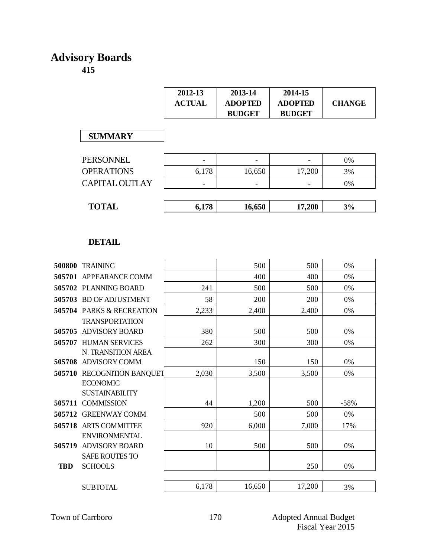## **Advisory Boards 415**

|                   | 2012-13<br><b>ACTUAL</b> | 2013-14<br><b>ADOPTED</b><br><b>BUDGET</b> | 2014-15<br><b>ADOPTED</b><br><b>BUDGET</b> | <b>CHANGE</b> |
|-------------------|--------------------------|--------------------------------------------|--------------------------------------------|---------------|
| <b>SUMMARY</b>    |                          |                                            |                                            |               |
| <b>PERSONNEL</b>  |                          |                                            |                                            | 0%            |
| <b>OPERATIONS</b> | 6,178                    | 16,650                                     | 17,200                                     | 3%            |
| CAPITAL OUTLAY    |                          |                                            |                                            | 0%            |

| <b>TOTAL</b>   | 6,178 | 16,650        | 17,200 | 3%  |  |
|----------------|-------|---------------|--------|-----|--|
|                |       |               |        |     |  |
| CAPITAL OUTLAY | -     | -             | -      | 0%  |  |
| VI LIV MIVI 19 | 0.110 | 10,0 <i>0</i> | 11.200 | J/V |  |

|            | <b>DETAIL</b>                        |       |        |        |        |
|------------|--------------------------------------|-------|--------|--------|--------|
|            | 500800 TRAINING                      |       | 500    | 500    | 0%     |
| 505701     | <b>APPEARANCE COMM</b>               |       | 400    | 400    | 0%     |
|            | 505702 PLANNING BOARD                | 241   | 500    | 500    | 0%     |
|            | 505703 BD OF ADJUSTMENT              | 58    | 200    | 200    | 0%     |
|            | <b>505704 PARKS &amp; RECREATION</b> | 2,233 | 2,400  | 2,400  | 0%     |
|            | <b>TRANSPORTATION</b>                |       |        |        |        |
|            | 505705 ADVISORY BOARD                | 380   | 500    | 500    | 0%     |
|            | 505707 HUMAN SERVICES                | 262   | 300    | 300    | 0%     |
|            | N. TRANSITION AREA                   |       |        |        |        |
|            | 505708 ADVISORY COMM                 |       | 150    | 150    | 0%     |
|            | 505710 RECOGNITION BANQUET           | 2,030 | 3,500  | 3,500  | 0%     |
|            | <b>ECONOMIC</b>                      |       |        |        |        |
|            | <b>SUSTAINABILITY</b>                |       |        |        |        |
|            | 505711 COMMISSION                    | 44    | 1,200  | 500    | $-58%$ |
| 505712     | <b>GREENWAY COMM</b>                 |       | 500    | 500    | 0%     |
|            | 505718 ARTS COMMITTEE                | 920   | 6,000  | 7,000  | 17%    |
|            | <b>ENVIRONMENTAL</b>                 |       |        |        |        |
|            | 505719 ADVISORY BOARD                | 10    | 500    | 500    | 0%     |
|            | <b>SAFE ROUTES TO</b>                |       |        |        |        |
| <b>TBD</b> | <b>SCHOOLS</b>                       |       |        | 250    | 0%     |
|            |                                      |       |        |        |        |
|            | <b>SUBTOTAL</b>                      | 6,178 | 16,650 | 17,200 | 3%     |
|            |                                      |       |        |        |        |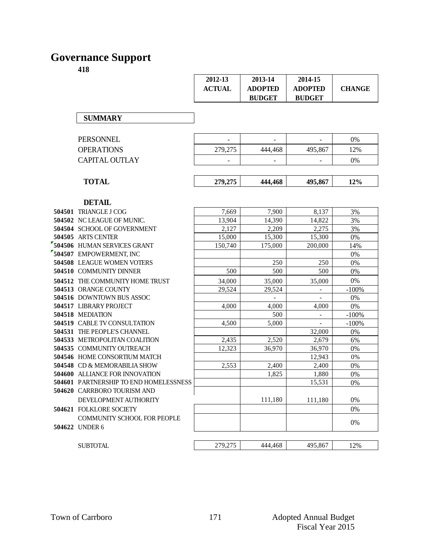# **Governance Support**

|                                                      | 2012-13<br><b>ACTUAL</b> | 2013-14<br><b>ADOPTED</b><br><b>BUDGET</b> | 2014-15<br><b>ADOPTED</b><br><b>BUDGET</b> | <b>CHANGE</b> |
|------------------------------------------------------|--------------------------|--------------------------------------------|--------------------------------------------|---------------|
| <b>SUMMARY</b>                                       |                          |                                            |                                            |               |
| <b>PERSONNEL</b>                                     |                          |                                            |                                            | $0\%$         |
| <b>OPERATIONS</b>                                    | 279,275                  | 444,468                                    | 495,867                                    | 12%           |
| <b>CAPITAL OUTLAY</b>                                |                          |                                            |                                            | 0%            |
| <b>TOTAL</b>                                         | 279,275                  | 444,468                                    | 495,867                                    | 12%           |
| <b>DETAIL</b>                                        |                          |                                            |                                            |               |
| 504501 TRIANGLE J COG                                | 7,669                    | 7,900                                      | 8,137                                      | 3%            |
| 504502 NC LEAGUE OF MUNIC.                           | 13,904                   | 14,390                                     | 14,822                                     | 3%            |
| 504504 SCHOOL OF GOVERNMENT                          | 2,127                    | 2,209                                      | 2,275                                      | 3%            |
| 504505 ARTS CENTER                                   | 15,000                   | 15,300                                     | 15,300                                     | 0%            |
| 504506 HUMAN SERVICES GRANT                          | 150,740                  | 175,000                                    | 200,000                                    | 14%           |
| 504507 EMPOWERMENT, INC                              |                          |                                            |                                            | 0%            |
| 504508 LEAGUE WOMEN VOTERS                           |                          | 250                                        | 250                                        | $0\%$         |
| 504510 COMMUNITY DINNER                              | 500                      | 500                                        | 500                                        | $0\%$         |
| 504512 THE COMMUNITY HOME TRUST                      | 34,000                   | 35,000                                     | 35,000                                     | 0%            |
| 504513 ORANGE COUNTY                                 | 29,524                   | 29,524                                     | $\blacksquare$                             | $-100%$       |
| 504516 DOWNTOWN BUS ASSOC                            |                          | $\blacksquare$                             |                                            | 0%            |
| 504517 LIBRARY PROJECT                               | 4,000                    | 4,000                                      | 4,000                                      | 0%            |
| 504518 MEDIATION                                     |                          | 500                                        | $\overline{\phantom{a}}$                   | $-100%$       |
| <b>504519 CABLE TV CONSULTATION</b>                  | 4,500                    | 5,000                                      | $\blacksquare$                             | $-100%$       |
| 504531 THE PEOPLE'S CHANNEL                          |                          |                                            | 32,000                                     | 0%            |
| 504533 METROPOLITAN COALITION                        | 2,435                    | 2,520                                      | 2,679                                      | 6%            |
| 504535 COMMUNITY OUTREACH                            | 12,323                   | 36,970                                     | 36,970                                     | 0%            |
| 504546 HOME CONSORTIUM MATCH                         |                          |                                            | 12,943                                     | 0%            |
| 504548 CD & MEMORABILIA SHOW                         | 2,553                    | 2,400                                      | 2,400                                      | 0%            |
| <b>504600 ALLIANCE FOR INNOVATION</b>                |                          | 1,825                                      | 1,880                                      | 0%            |
| 504601 PARTNERSHIP TO END HOMELESSNESS               |                          |                                            | 15,531                                     | 0%            |
| 504620 CARRBORO TOURISM AND<br>DEVELOPMENT AUTHORITY |                          | 111,180                                    | 111,180                                    | 0%            |
| <b>504621 FOLKLORE SOCIETY</b>                       |                          |                                            |                                            | 0%            |
| <b>COMMUNITY SCHOOL FOR PEOPLE</b>                   |                          |                                            |                                            |               |
| 504622 UNDER 6                                       |                          |                                            |                                            | 0%            |
| <b>SUBTOTAL</b>                                      | 279,275                  | 444,468                                    | 495,867                                    | 12%           |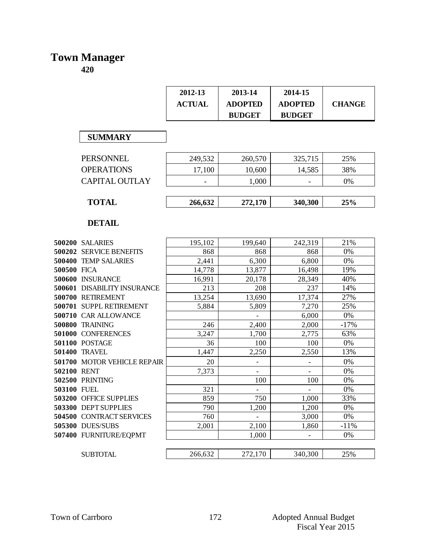#### **Town Manager**

|             |                                            | 2012-13        | 2013-14                  | 2014-15                  |               |
|-------------|--------------------------------------------|----------------|--------------------------|--------------------------|---------------|
|             |                                            | <b>ACTUAL</b>  | <b>ADOPTED</b>           | <b>ADOPTED</b>           | <b>CHANGE</b> |
|             |                                            |                | <b>BUDGET</b>            | <b>BUDGET</b>            |               |
|             |                                            |                |                          |                          |               |
|             | <b>SUMMARY</b>                             |                |                          |                          |               |
|             |                                            |                |                          |                          |               |
|             | PERSONNEL                                  | 249,532        | 260,570                  | 325,715                  | 25%           |
|             | <b>OPERATIONS</b>                          | 17,100         | 10,600                   | 14,585                   | 38%           |
|             |                                            |                |                          |                          |               |
|             | <b>CAPITAL OUTLAY</b>                      |                | 1,000                    |                          | 0%            |
|             |                                            |                |                          |                          |               |
|             | <b>TOTAL</b>                               | 266,632        | 272,170                  | 340,300                  | 25%           |
|             |                                            |                |                          |                          |               |
|             | <b>DETAIL</b>                              |                |                          |                          |               |
|             |                                            |                | 199,640                  | 242,319                  | 21%           |
|             | 500200 SALARIES<br>500202 SERVICE BENEFITS | 195,102<br>868 | 868                      | 868                      | 0%            |
|             | 500400 TEMP SALARIES                       | 2,441          | 6,300                    | 6,800                    | 0%            |
| 500500 FICA |                                            | 14,778         | 13,877                   | 16,498                   | 19%           |
|             | 500600 INSURANCE                           | 16,991         | 20,178                   | 28,349                   | 40%           |
|             | <b>500601 DISABILITY INSURANCE</b>         | 213            | 208                      | 237                      | 14%           |
|             | 500700 RETIREMENT                          | 13,254         | 13,690                   | 17,374                   | 27%           |
|             | 500701 SUPPL RETIREMENT                    | 5,884          | 5,809                    | 7,270                    | 25%           |
|             | 500710 CAR ALLOWANCE                       |                | $\overline{\phantom{0}}$ | 6,000                    | 0%            |
|             | <b>500800 TRAINING</b>                     | 246            | 2,400                    | 2,000                    | $-17%$        |
|             | 501000 CONFERENCES                         | 3,247          | 1,700                    | 2,775                    | 63%           |
|             | 501100 POSTAGE                             | 36             | 100                      | 100                      | 0%            |
|             | 501400 TRAVEL                              | 1,447          | 2,250                    | 2,550                    | 13%           |
|             | 501700 MOTOR VEHICLE REPAIR                | 20             | $\overline{\phantom{0}}$ | $\overline{\phantom{a}}$ | 0%            |
| 502100 RENT |                                            | 7,373          | $\overline{a}$           |                          | 0%            |
|             | 502500 PRINTING                            |                | 100                      | 100                      | 0%            |
| 503100 FUEL |                                            | 321            |                          |                          | 0%            |
|             | 503200 OFFICE SUPPLIES                     | 859            | 750                      | 1,000                    | 33%           |
|             | 503300 DEPT SUPPLIES                       | 790            | 1,200                    | 1,200                    | 0%            |
|             | 504500 CONTRACT SERVICES                   | 760            |                          | 3,000                    | 0%            |
|             | 505300 DUES/SUBS                           | 2,001          | 2,100                    | 1,860                    | $-11%$        |
|             | 507400 FURNITURE/EQPMT                     |                | 1,000                    |                          | 0%            |
|             |                                            |                |                          |                          |               |
|             | <b>SUBTOTAL</b>                            | 266,632        | 272,170                  | 340,300                  | 25%           |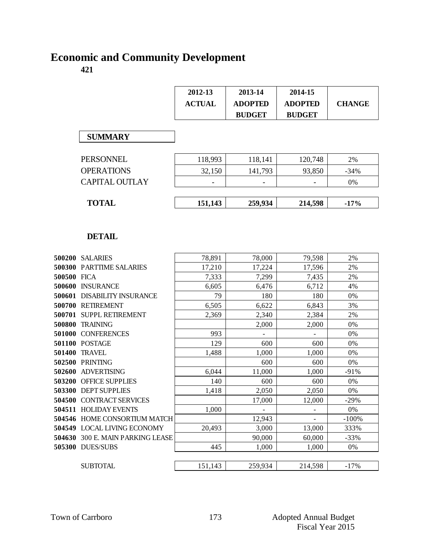# **Economic and Community Development**

|                       | 2012-13<br><b>ACTUAL</b> | 2013-14<br><b>ADOPTED</b><br><b>BUDGET</b> | 2014-15<br><b>ADOPTED</b><br><b>BUDGET</b> | <b>CHANGE</b> |
|-----------------------|--------------------------|--------------------------------------------|--------------------------------------------|---------------|
| <b>SUMMARY</b>        |                          |                                            |                                            |               |
| <b>PERSONNEL</b>      | 118,993                  | 118,141                                    | 120,748                                    | 2%            |
| <b>OPERATIONS</b>     | 32,150                   | 141,793                                    | 93,850                                     | $-34%$        |
| <b>CAPITAL OUTLAY</b> | -                        | -                                          | -                                          | 0%            |
| <b>TOTAL</b>          | 151,143                  | 259,934                                    | 214,598                                    | $-17\%$       |

|             | <b>DETAIL</b>                       |         |                          |         |         |
|-------------|-------------------------------------|---------|--------------------------|---------|---------|
|             | <b>500200 SALARIES</b>              | 78,891  | 78,000                   | 79,598  | 2%      |
|             | <b>500300 PARTTIME SALARIES</b>     | 17,210  | 17,224                   | 17,596  | 2%      |
| 500500 FICA |                                     | 7,333   | 7,299                    | 7,435   | 2%      |
|             | 500600 INSURANCE                    | 6,605   | 6,476                    | 6,712   | 4%      |
|             | <b>500601 DISABILITY INSURANCE</b>  | 79      | 180                      | 180     | 0%      |
|             | 500700 RETIREMENT                   | 6,505   | 6,622                    | 6,843   | 3%      |
| 500701      | <b>SUPPL RETIREMENT</b>             | 2,369   | 2,340                    | 2,384   | 2%      |
| 500800      | <b>TRAINING</b>                     |         | 2,000                    | 2,000   | 0%      |
| 501000      | <b>CONFERENCES</b>                  | 993     | $\overline{\phantom{0}}$ |         | 0%      |
|             | 501100 POSTAGE                      | 129     | 600                      | 600     | 0%      |
| 501400      | TRAVEL                              | 1,488   | 1,000                    | 1,000   | 0%      |
| 502500      | <b>PRINTING</b>                     |         | 600                      | 600     | 0%      |
| 502600      | <b>ADVERTISING</b>                  | 6,044   | 11,000                   | 1,000   | $-91%$  |
| 503200      | <b>OFFICE SUPPLIES</b>              | 140     | 600                      | 600     | 0%      |
| 503300      | <b>DEPT SUPPLIES</b>                | 1,418   | 2,050                    | 2,050   | $0\%$   |
| 504500      | <b>CONTRACT SERVICES</b>            |         | 17,000                   | 12,000  | $-29%$  |
|             | 504511 HOLIDAY EVENTS               | 1,000   |                          |         | 0%      |
|             | <b>504546 HOME CONSORTIUM MATCH</b> |         | 12,943                   |         | $-100%$ |
|             | 504549 LOCAL LIVING ECONOMY         | 20,493  | 3,000                    | 13,000  | 333%    |
|             | 504630 300 E. MAIN PARKING LEASE    |         | 90,000                   | 60,000  | $-33%$  |
|             | 505300 DUES/SUBS                    | 445     | 1,000                    | 1,000   | 0%      |
|             |                                     |         |                          |         |         |
|             | <b>SUBTOTAL</b>                     | 151,143 | 259,934                  | 214,598 | $-17%$  |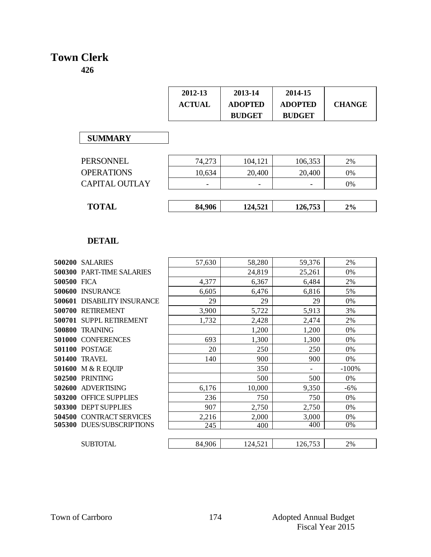## **Town Clerk**

| 2012-13       | 2013-14        | 2014-15        |               |
|---------------|----------------|----------------|---------------|
| <b>ACTUAL</b> | <b>ADOPTED</b> | <b>ADOPTED</b> | <b>CHANGE</b> |
|               | <b>BUDGET</b>  | <b>BUDGET</b>  |               |

#### **SUMMARY**

| <b>SUMMARY</b>        |        |         |         |    |
|-----------------------|--------|---------|---------|----|
| PERSONNEL             | 74,273 | 104,121 | 106,353 | 2% |
| <b>OPERATIONS</b>     | 10,634 | 20,400  | 20,400  | 0% |
| <b>CAPITAL OUTLAY</b> |        |         |         | 0% |
|                       |        |         |         |    |
| <b>TOTAL</b>          | 84,906 | 124,521 | 126,753 | 2% |

|             | <b>DETAIL</b>                      |        |         |         |         |
|-------------|------------------------------------|--------|---------|---------|---------|
|             | <b>500200 SALARIES</b>             | 57,630 | 58,280  | 59,376  | 2%      |
|             | <b>500300 PART-TIME SALARIES</b>   |        | 24,819  | 25,261  | 0%      |
| 500500 FICA |                                    | 4,377  | 6,367   | 6,484   | 2%      |
|             | 500600 INSURANCE                   | 6,605  | 6,476   | 6,816   | 5%      |
|             | <b>500601 DISABILITY INSURANCE</b> | 29     | 29      | 29      | 0%      |
|             | 500700 RETIREMENT                  | 3,900  | 5,722   | 5,913   | 3%      |
|             | 500701 SUPPL RETIREMENT            | 1,732  | 2,428   | 2,474   | 2%      |
| 500800      | <b>TRAINING</b>                    |        | 1,200   | 1,200   | 0%      |
| 501000      | <b>CONFERENCES</b>                 | 693    | 1,300   | 1,300   | 0%      |
|             | <b>501100 POSTAGE</b>              | 20     | 250     | 250     | 0%      |
| 501400      | TRAVEL                             | 140    | 900     | 900     | 0%      |
| 501600      | M & R EQUIP                        |        | 350     | -       | $-100%$ |
|             | <b>502500 PRINTING</b>             |        | 500     | 500     | 0%      |
| 502600      | <b>ADVERTISING</b>                 | 6,176  | 10,000  | 9,350   | $-6%$   |
| 503200      | <b>OFFICE SUPPLIES</b>             | 236    | 750     | 750     | 0%      |
|             | 503300 DEPT SUPPLIES               | 907    | 2,750   | 2,750   | 0%      |
| 504500      | CONTRACT SERVICES                  | 2,216  | 2,000   | 3,000   | 0%      |
|             | 505300 DUES/SUBSCRIPTIONS          | 245    | 400     | 400     | 0%      |
|             |                                    |        |         |         |         |
|             | SUBTOTAL                           | 84,906 | 124,521 | 126,753 | 2%      |
|             |                                    |        |         |         |         |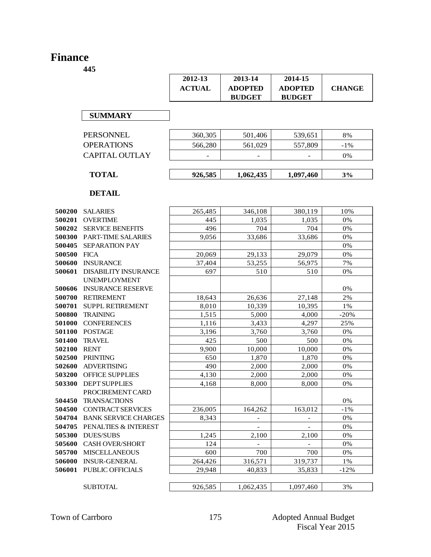### **Finance**

|                  |                                                    | 2012-13       | 2013-14                         | 2014-15                         |               |
|------------------|----------------------------------------------------|---------------|---------------------------------|---------------------------------|---------------|
|                  |                                                    | <b>ACTUAL</b> | <b>ADOPTED</b><br><b>BUDGET</b> | <b>ADOPTED</b><br><b>BUDGET</b> | <b>CHANGE</b> |
|                  | <b>SUMMARY</b>                                     |               |                                 |                                 |               |
|                  | <b>PERSONNEL</b>                                   | 360,305       | 501,406                         | 539,651                         | 8%            |
|                  | <b>OPERATIONS</b>                                  | 566,280       | 561,029                         | 557,809                         | $-1\%$        |
|                  | <b>CAPITAL OUTLAY</b>                              |               |                                 |                                 | 0%            |
|                  | <b>TOTAL</b>                                       | 926,585       | 1,062,435                       | 1,097,460                       | 3%            |
|                  | <b>DETAIL</b>                                      |               |                                 |                                 |               |
| 500200           | <b>SALARIES</b>                                    | 265,485       | 346,108                         | 380,119                         | 10%           |
| 500201           | <b>OVERTIME</b>                                    | 445           | 1,035                           | 1,035                           | 0%            |
| 500202           | <b>SERVICE BENEFITS</b>                            | 496           | 704                             | 704                             | 0%            |
| 500300           | PART-TIME SALARIES                                 | 9,056         | 33,686                          | 33,686                          | 0%            |
| 500405           | <b>SEPARATION PAY</b>                              |               |                                 |                                 | 0%            |
| 500500           | <b>FICA</b>                                        | 20,069        | 29,133                          | 29,079                          | 0%            |
| 500600           | <b>INSURANCE</b>                                   | 37,404        | 53,255                          | 56,975                          | 7%            |
| 500601           | <b>DISABILITY INSURANCE</b><br><b>UNEMPLOYMENT</b> | 697           | 510                             | 510                             | 0%            |
| 500606           | <b>INSURANCE RESERVE</b>                           |               |                                 |                                 | $0\%$         |
| 500700           | <b>RETIREMENT</b>                                  | 18,643        | 26,636                          | 27,148                          | 2%            |
| 500701           | <b>SUPPL RETIREMENT</b>                            | 8,010         | 10,339                          | 10,395                          | 1%            |
| 500800           | <b>TRAINING</b>                                    | 1,515         | 5,000                           | 4,000                           | $-20%$<br>25% |
| 501000<br>501100 | <b>CONFERENCES</b><br><b>POSTAGE</b>               | 1,116         | 3,433                           | 4,297                           | 0%            |
| 501400           | <b>TRAVEL</b>                                      | 3,196<br>425  | 3,760<br>500                    | 3,760<br>500                    | 0%            |
| 502100           | <b>RENT</b>                                        | 9,900         | 10,000                          | 10,000                          | 0%            |
| 502500           | <b>PRINTING</b>                                    | 650           | 1,870                           | 1,870                           | 0%            |
| 502600           | <b>ADVERTISING</b>                                 | 490           | 2,000                           | 2,000                           | 0%            |
| 503200           | <b>OFFICE SUPPLIES</b>                             | 4,130         | 2,000                           | 2,000                           | 0%            |
| 503300           | <b>DEPT SUPPLIES</b>                               | 4,168         | 8,000                           | 8,000                           | 0%            |
|                  | PROCIREMENT CARD                                   |               |                                 |                                 |               |
| 504450<br>504500 | <b>TRANSACTIONS</b>                                |               |                                 |                                 | 0%            |
| 504704           | CONTRACT SERVICES<br><b>BANK SERVICE CHARGES</b>   | 236,005       | 164,262                         | 163,012                         | $-1\%$        |
| 504705           | PENALTIES & INTEREST                               | 8,343         | $\overline{\phantom{0}}$        |                                 | 0%<br>0%      |
| 505300           | <b>DUES/SUBS</b>                                   | 1,245         | 2,100                           | 2,100                           | 0%            |
| 505600           | <b>CASH OVER/SHORT</b>                             | 124           |                                 |                                 | 0%            |
| 505700           | <b>MISCELLANEOUS</b>                               | 600           | $\qquad \qquad -$<br>700        | 700                             | 0%            |
| 506000           | <b>INSUR-GENERAL</b>                               | 264,426       | 316,571                         | 319,737                         | 1%            |
| 506001           | PUBLIC OFFICIALS                                   | 29,948        | 40,833                          | 35,833                          | $-12%$        |
|                  | <b>SUBTOTAL</b>                                    | 926,585       | 1,062,435                       | 1,097,460                       | 3%            |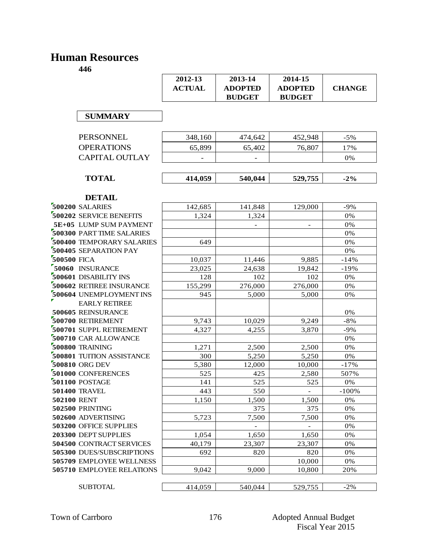## **Human Resources**

|             |                           | 2012-13       | 2013-14        | 2014-15        |               |
|-------------|---------------------------|---------------|----------------|----------------|---------------|
|             |                           | <b>ACTUAL</b> | <b>ADOPTED</b> | <b>ADOPTED</b> | <b>CHANGE</b> |
|             |                           |               | <b>BUDGET</b>  | <b>BUDGET</b>  |               |
|             |                           |               |                |                |               |
|             | <b>SUMMARY</b>            |               |                |                |               |
|             |                           |               |                |                |               |
|             | <b>PERSONNEL</b>          | 348,160       | 474,642        | 452,948        | $-5%$         |
|             | <b>OPERATIONS</b>         | 65,899        | 65,402         | 76,807         | 17%           |
|             | <b>CAPITAL OUTLAY</b>     |               |                |                |               |
|             |                           |               |                |                | 0%            |
|             |                           |               |                |                |               |
|             | <b>TOTAL</b>              | 414,059       | 540,044        | 529,755        | $-2\%$        |
|             |                           |               |                |                |               |
|             | <b>DETAIL</b>             |               |                |                |               |
|             | 500200 SALARIES           | 142,685       | 141,848        | 129,000        | $-9%$         |
|             | 500202 SERVICE BENEFITS   | 1,324         | 1,324          |                | 0%            |
|             | 5E+05 LUMP SUM PAYMENT    |               |                |                | 0%            |
|             | 500300 PART TIME SALARIES |               |                |                | $0\%$         |
|             | 500400 TEMPORARY SALARIES | 649           |                |                | 0%            |
|             | 500405 SEPARATION PAY     |               |                |                | 0%            |
| 500500 FICA |                           | 10,037        | 11,446         | 9,885          | $-14%$        |
|             | 50060 INSURANCE           | 23,025        | 24,638         | 19,842         | $-19%$        |
|             | 500601 DISABILITY INS     | 128           | 102            | 102            | 0%            |
|             | 500602 RETIREE INSURANCE  | 155,299       | 276,000        | 276,000        | 0%            |
|             | 500604 UNEMPLOYMENT INS   | 945           | 5,000          | 5,000          | 0%            |
|             | <b>EARLY RETIREE</b>      |               |                |                |               |
|             | 500605 REINSURANCE        |               |                |                | 0%            |
|             | 500700 RETIREMENT         | 9,743         | 10,029         | 9,249          | $-8%$         |
|             | 500701 SUPPL RETIREMENT   | 4,327         | 4,255          | 3,870          | $-9%$         |
|             | 500710 CAR ALLOWANCE      |               |                |                | 0%            |
|             | 500800 TRAINING           | 1,271         | 2,500          | 2,500          | $0\%$         |
|             | 500801 TUITION ASSISTANCE | 300           | 5,250          | 5,250          | 0%            |
|             | 500810 ORG DEV            | 5,380         | 12,000         | 10,000         | $-17%$        |
|             | 501000 CONFERENCES        | 525           | 425            | 2,580          | 507%          |
|             | 501100 POSTAGE            | 141           | 525            | 525            | 0%            |
|             | <b>501400 TRAVEL</b>      | 443           | 550            | $\blacksquare$ | $-100%$       |
| 502100 RENT |                           | 1,150         | 1,500          | 1,500          | 0%            |
|             | 502500 PRINTING           |               | 375            | 375            | 0%            |
|             | 502600 ADVERTISING        | 5,723         | 7,500          | 7,500          | 0%            |
|             | 503200 OFFICE SUPPLIES    |               |                |                | 0%            |
|             | 203300 DEPT SUPPLIES      | 1,054         | 1,650          | 1,650          | 0%            |
|             | 504500 CONTRACT SERVICES  | 40,179        | 23,307         | 23,307         | 0%            |
|             | 505300 DUES/SUBSCRIPTIONS | 692           | 820            | 820            | 0%            |
|             | 505709 EMPLOYEE WELLNESS  |               |                | 10,000         | 0%            |
|             | 505710 EMPLOYEE RELATIONS | 9,042         | 9,000          | 10,800         | 20%           |
|             |                           |               |                |                |               |
|             | <b>SUBTOTAL</b>           | 414,059       | 540,044        | 529,755        | $-2%$         |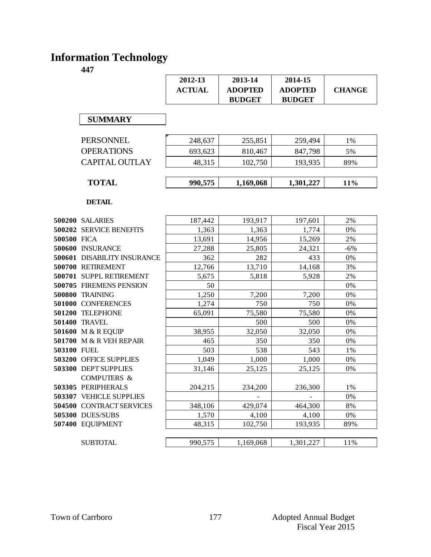# **Information Technology**

|             |                                            | 2012-13         | 2013-14         | 2014-15         |               |
|-------------|--------------------------------------------|-----------------|-----------------|-----------------|---------------|
|             |                                            | <b>ACTUAL</b>   | <b>ADOPTED</b>  | <b>ADOPTED</b>  | <b>CHANGE</b> |
|             |                                            |                 | <b>BUDGET</b>   | <b>BUDGET</b>   |               |
|             |                                            |                 |                 |                 |               |
|             | <b>SUMMARY</b>                             |                 |                 |                 |               |
|             |                                            |                 |                 |                 |               |
|             | <b>PERSONNEL</b>                           | 248,637         | 255,851         | 259,494         | 1%            |
|             | <b>OPERATIONS</b>                          | 693,623         | 810,467         | 847,798         | 5%            |
|             | <b>CAPITAL OUTLAY</b>                      | 48,315          | 102,750         | 193,935         | 89%           |
|             |                                            |                 |                 |                 |               |
|             | <b>TOTAL</b>                               | 990,575         | 1,169,068       | 1,301,227       | 11%           |
|             |                                            |                 |                 |                 |               |
|             | <b>DETAIL</b>                              |                 |                 |                 |               |
|             |                                            |                 |                 |                 |               |
|             | 500200 SALARIES<br>500202 SERVICE BENEFITS | 187,442         | 193,917         | 197,601         | 2%<br>0%      |
| 500500 FICA |                                            | 1,363<br>13,691 | 1,363<br>14,956 | 1,774<br>15,269 | 2%            |
|             | 500600 INSURANCE                           | 27,288          | 25,805          | 24,321          | $-6%$         |
|             | 500601 DISABILITY INSURANCE                | 362             | 282             | 433             | 0%            |
|             | 500700 RETIREMENT                          | 12,766          | 13,710          | 14,168          | 3%            |
|             | 500701 SUPPL RETIREMENT                    | 5,675           | 5,818           | 5,928           | 2%            |
|             | 500705 FIREMENS PENSION                    | 50              |                 |                 | 0%            |
|             | <b>500800 TRAINING</b>                     | 1,250           | 7,200           | 7,200           | 0%            |
|             | 501000 CONFERENCES                         | 1,274           | 750             | 750             | 0%            |
|             | 501200 TELEPHONE                           | 65,091          | 75,580          | 75,580          | 0%            |
|             | <b>501400 TRAVEL</b>                       |                 | 500             | 500             | 0%            |
|             | 501600 M & R EQUIP                         | 38,955          | 32,050          | 32,050          | 0%            |
|             | 501700 M & R VEH REPAIR                    | 465             | 350             | 350             | 0%            |
| 503100 FUEL |                                            | 503             | 538             | 543             | $1\%$         |
|             | 503200 OFFICE SUPPLIES                     | 1,049           | 1,000           | 1,000           | 0%            |
|             | 503300 DEPT SUPPLIES                       | 31,146          | 25,125          | 25,125          | 0%            |
|             | <b>COMPUTERS &amp;</b>                     |                 |                 |                 |               |
|             | 503305 PERIPHERALS                         | 204,215         | 234,200         | 236,300         | $1\%$         |
|             | 503307 VEHICLE SUPPLIES                    |                 |                 |                 | 0%            |
|             | 504500 CONTRACT SERVICES                   | 348,106         | 429,074         | 464,300         | $8\%$         |
|             | 505300 DUES/SUBS                           | 1,570           | 4,100           | 4,100           | 0%            |
|             | 507400 EQUIPMENT                           | 48,315          | 102,750         | 193,935         | 89%           |
|             |                                            |                 |                 |                 |               |
|             | <b>SUBTOTAL</b>                            | 990,575         | 1,169,068       | 1,301,227       | 11%           |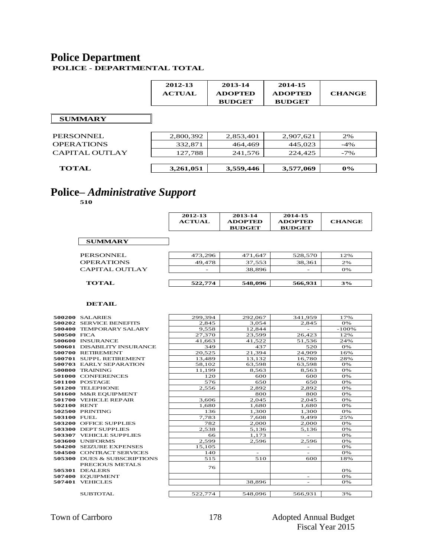#### **Police Department POLICE - DEPARTMENTAL TOTAL**

 $\overline{\phantom{0}}$ 

|                   | 2012-13<br><b>ACTUAL</b> | 2013-14<br><b>ADOPTED</b><br><b>BUDGET</b> | 2014-15<br><b>ADOPTED</b><br><b>BUDGET</b> | <b>CHANGE</b> |
|-------------------|--------------------------|--------------------------------------------|--------------------------------------------|---------------|
| <b>SUMMARY</b>    |                          |                                            |                                            |               |
| PERSONNEL         | 2,800,392                | 2,853,401                                  | 2,907,621                                  | 2%            |
| <b>OPERATIONS</b> | 332,871                  | 464,469                                    | 445,023                                    | $-4%$         |
| CAPITAL OUTLAY    | 127,788                  | 241,576                                    | 224,425                                    | $-7\%$        |
|                   |                          |                                            |                                            |               |
| TOTAL             | 3,261,051                | 3,559,446                                  | 3,577,069                                  | $0\%$         |

## **Police–** *Administrative Support*

**510**

|             |                                        | 2012-13<br><b>ACTUAL</b> | 2013-14<br><b>ADOPTED</b><br><b>BUDGET</b> | 2014-15<br><b>ADOPTED</b><br><b>BUDGET</b> | <b>CHANGE</b> |
|-------------|----------------------------------------|--------------------------|--------------------------------------------|--------------------------------------------|---------------|
|             | <b>SUMMARY</b>                         |                          |                                            |                                            |               |
|             | <b>PERSONNEL</b>                       | 473.296                  | 471.647                                    | 528,570                                    | 12%           |
|             | <b>OPERATIONS</b>                      | 49,478                   | 37,553                                     | 38,361                                     | 2%            |
|             | <b>CAPITAL OUTLAY</b>                  |                          | 38.896                                     |                                            | 0%            |
|             | <b>TOTAL</b>                           | 522,774                  | 548,096                                    | 566,931                                    | 3%            |
|             | <b>DETAIL</b>                          |                          |                                            |                                            |               |
|             | 500200 SALARIES                        | 299.394                  | 292,067                                    | 341.959                                    | 17%           |
|             | 500202 SERVICE BENEFITS                | 2.845                    | 3.054                                      | 2.845                                      | 0%            |
|             | 500400 TEMPORARY SALARY                | 9,558                    | 12,844                                     | $\overline{\phantom{a}}$                   | -100%         |
| 500500 FICA |                                        | 27,370                   | 23,599                                     | 26,423                                     | 12%           |
|             | <b>500600 INSURANCE</b>                | 41.663                   | 41,522                                     | 51,536                                     | 24%           |
|             | 500601 DISABILITY INSURANCE            | 349                      | 437                                        | 520                                        | 0%            |
|             | 500700 RETIREMENT                      | 20,525                   | 21,394                                     | 24.909                                     | 16%           |
|             | 500701 SUPPL RETIREMENT                | 13,489                   | 13,132                                     | 16,780                                     | 28%           |
|             | 500703 EARLY SEPARATION                | 58,102                   | 63,598                                     | 63,598                                     | 0%            |
|             | 500800 TRAINING                        | 11.199                   | 8,563                                      | 8,563                                      | 0%            |
|             | 501000 CONFERENCES                     | 120                      | 600                                        | 600                                        | 0%            |
|             | 501100 POSTAGE                         | 576                      | 650                                        | 650                                        | 0%            |
|             | 501200 TELEPHONE                       | 2,556                    | 2.892                                      | 2.892                                      | 0%            |
|             | 501600 M&R EOUIPMENT                   |                          | 800                                        | 800                                        | 0%            |
|             | 501700 VEHICLE REPAIR                  | 3,606                    | 2,045                                      | 2,045                                      | 0%            |
| 502100 RENT |                                        | 1.680                    | 1,680                                      | 1,680                                      | 0%            |
|             | 502500 PRINTING                        | 136                      | 1,300                                      | 1,300                                      | 0%            |
| 503100 FUEL |                                        | 7,783                    | 7,608                                      | 9.499                                      | 25%           |
|             | 503200 OFFICE SUPPLIES                 | 782                      | 2,000                                      | 2,000                                      | 0%            |
|             | 503300 DEPT SUPPLIES                   | 2,538                    | 5,136                                      | 5,136                                      | 0%            |
|             | 503307 VEHICLE SUPPLIES                | 66                       | 1,173                                      |                                            | 0%            |
|             | 503600 UNIFORMS                        | 2,599                    | 2,596                                      | 2,596                                      | 0%            |
|             | 504200 SEIZURE EXPENSES                | 15,105                   |                                            | $\overline{\phantom{a}}$                   | 0%            |
|             | 504500 CONTRACT SERVICES               | 140                      |                                            |                                            | 0%            |
|             | <b>505300 DUES &amp; SUBSCRIPTIONS</b> | 515                      | 510                                        | 600                                        | 18%           |
|             | PRECIOUS METALS                        | 76                       |                                            |                                            |               |
|             | 505301 DEALERS                         |                          |                                            |                                            | 0%            |
|             | 507400 EQUIPMENT                       |                          |                                            | $\sim$                                     | 0%            |
|             | 507401 VEHICLES                        |                          | 38,896                                     | $\overline{\phantom{0}}$                   | 0%            |
|             | <b>SUBTOTAL</b>                        | 522,774                  | 548,096                                    | 566,931                                    | 3%            |

| 1/8 |  |  | F |
|-----|--|--|---|
|     |  |  |   |
|     |  |  |   |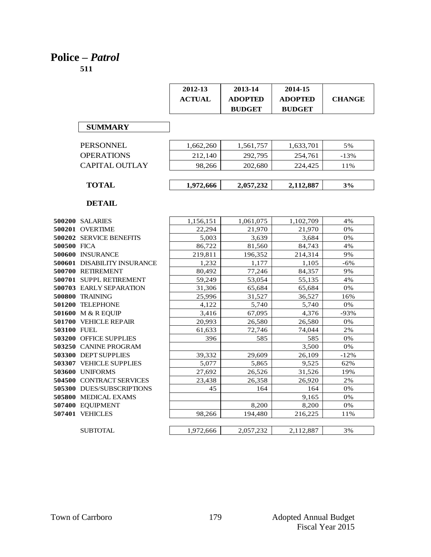# **Police –** *Patrol*

|                                    | 2012-13       | 2013-14        | 2014-15        |               |
|------------------------------------|---------------|----------------|----------------|---------------|
|                                    | <b>ACTUAL</b> | <b>ADOPTED</b> | <b>ADOPTED</b> | <b>CHANGE</b> |
|                                    |               | <b>BUDGET</b>  | <b>BUDGET</b>  |               |
|                                    |               |                |                |               |
| <b>SUMMARY</b>                     |               |                |                |               |
| <b>PERSONNEL</b>                   | 1,662,260     | 1,561,757      | 1,633,701      | 5%            |
| <b>OPERATIONS</b>                  | 212,140       | 292,795        | 254,761        | $-13%$        |
| <b>CAPITAL OUTLAY</b>              | 98,266        | 202,680        | 224,425        | 11%           |
|                                    |               |                |                |               |
| <b>TOTAL</b>                       | 1,972,666     | 2,057,232      | 2,112,887      | 3%            |
| <b>DETAIL</b>                      |               |                |                |               |
| 500200 SALARIES                    | 1,156,151     | 1,061,075      | 1,102,709      | 4%            |
| 500201 OVERTIME                    | 22.294        | 21,970         | 21.970         | 0%            |
| <b>500202 SERVICE BENEFITS</b>     | 5,003         | 3,639          | 3,684          | 0%            |
| 500500 FICA                        | 86,722        | 81,560         | 84,743         | 4%            |
| 500600 INSURANCE                   | 219,811       | 196,352        | 214,314        | 9%            |
| <b>500601 DISABILITY INSURANCE</b> | 1,232         | 1,177          | 1,105          | $-6\%$        |
| 500700 RETIREMENT                  | 80,492        | 77,246         | 84,357         | 9%            |
| 500701 SUPPL RETIREMENT            | 59,249        | 53,054         | 55,135         | 4%            |
| 500703 EARLY SEPARATION            | 31,306        | 65,684         | 65,684         | 0%            |
| <b>500800 TRAINING</b>             | 25.996        | 31.527         | 36,527         | 16%           |
| 501200 TELEPHONE                   | 4,122         | 5,740          | 5,740          | 0%            |
| 501600 M & R EQUIP                 | 3,416         | 67,095         | 4,376          | $-93%$        |
| 501700 VEHICLE REPAIR              | 20,993        | 26,580         | 26,580         | 0%            |
| 503100 FUEL                        | 61,633        | 72.746         | 74.044         | 2%            |
| <b>503200 OFFICE SUPPLIES</b>      | 396           | 585            | 585            | 0%            |
| 503250 CANINE PROGRAM              |               |                | 3.500          | 0%            |
| 503300 DEPT SUPPLIES               | 39,332        | 29,609         | 26,109         | $-12%$        |
| 503307 VEHICLE SUPPLIES            | 5.077         | 5,865          | 9.525          | 62%           |
| 503600 UNIFORMS                    | 27,692        | 26,526         | 31,526         | 19%           |
| 504500 CONTRACT SERVICES           | 23,438        | 26,358         | 26,920         | 2%            |
| <b>505300 DUES/SUBSCRIPTIONS</b>   | 45            | 164            | 164            | 0%            |
| 505800 MEDICAL EXAMS               |               |                | 9,165          | 0%            |
| 507400 EQUIPMENT                   |               | 8,200          | 8,200          | 0%            |
| 507401 VEHICLES                    | 98,266        | 194.480        | 216,225        | 11%           |
| <b>SUBTOTAL</b>                    | 1,972,666     | 2,057,232      | 2,112,887      | 3%            |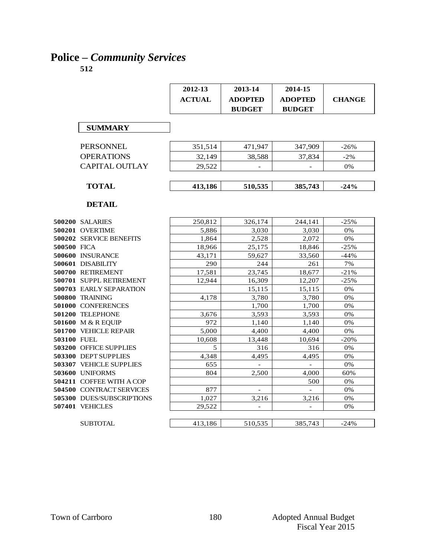# **Police –** *Community Services*

|             |                                        | 2012-13       | 2013-14                  | 2014-15                  |               |
|-------------|----------------------------------------|---------------|--------------------------|--------------------------|---------------|
|             |                                        | <b>ACTUAL</b> | <b>ADOPTED</b>           | <b>ADOPTED</b>           | <b>CHANGE</b> |
|             |                                        |               | <b>BUDGET</b>            | <b>BUDGET</b>            |               |
|             |                                        |               |                          |                          |               |
|             | <b>SUMMARY</b>                         |               |                          |                          |               |
|             |                                        |               |                          |                          |               |
|             | <b>PERSONNEL</b>                       | 351,514       | 471,947                  | 347,909                  | $-26%$        |
|             | <b>OPERATIONS</b>                      | 32,149        | 38,588                   | 37,834                   | $-2%$         |
|             | <b>CAPITAL OUTLAY</b>                  | 29,522        |                          |                          | 0%            |
|             |                                        |               |                          |                          |               |
|             |                                        |               |                          |                          |               |
|             | <b>TOTAL</b>                           | 413,186       | 510,535                  | 385,743                  | $-24%$        |
|             |                                        |               |                          |                          |               |
|             | <b>DETAIL</b>                          |               |                          |                          |               |
|             |                                        |               |                          |                          |               |
|             | <b>500200 SALARIES</b>                 | 250,812       | 326,174                  | 244,141                  | $-25%$        |
|             | 500201 OVERTIME                        | 5,886         | 3,030                    | 3,030                    | 0%            |
|             | 500202 SERVICE BENEFITS                | 1,864         | 2,528                    | 2,072                    | 0%            |
| 500500 FICA |                                        | 18,966        | 25.175                   | 18,846                   | $-25%$        |
|             | 500600 INSURANCE                       | 43,171        | 59,627                   | 33,560                   | $-44%$        |
|             | 500601 DISABILITY                      | 290           | 244                      | 261                      | 7%            |
|             | 500700 RETIREMENT                      | 17,581        | 23,745                   | 18,677                   | $-21%$        |
|             | 500701 SUPPL RETIREMENT                | 12,944        | 16,309                   | 12,207                   | $-25%$        |
|             | <b>500703 EARLY SEPARATION</b>         |               | 15,115                   | 15,115                   | 0%            |
|             | 500800 TRAINING                        | 4.178         | 3,780                    | 3,780                    | 0%            |
|             | 501000 CONFERENCES                     |               | 1,700                    | 1,700                    | 0%            |
|             | 501200 TELEPHONE<br>501600 M & R EQUIP | 3,676<br>972  | 3,593                    | 3,593                    | 0%            |
|             | 501700 VEHICLE REPAIR                  | 5,000         | 1,140<br>4,400           | 1,140<br>4,400           | 0%<br>0%      |
| 503100 FUEL |                                        | 10.608        | 13,448                   | 10,694                   | $-20%$        |
|             | 503200 OFFICE SUPPLIES                 | 5             | 316                      | 316                      | 0%            |
|             | 503300 DEPT SUPPLIES                   | 4,348         | 4,495                    | 4,495                    | 0%            |
|             | <b>503307 VEHICLE SUPPLIES</b>         | 655           |                          |                          | 0%            |
|             | 503600 UNIFORMS                        | 804           | 2,500                    | 4,000                    | 60%           |
|             | 504211 COFFEE WITH A COP               |               |                          | 500                      | 0%            |
|             | 504500 CONTRACT SERVICES               | 877           | $\overline{\phantom{a}}$ | $\overline{a}$           | 0%            |
|             | 505300 DUES/SUBSCRIPTIONS              | 1,027         | 3,216                    | 3,216                    | 0%            |
|             | 507401 VEHICLES                        | 29,522        | $\overline{\phantom{m}}$ | $\overline{\phantom{m}}$ | 0%            |
|             |                                        |               |                          |                          |               |
|             | <b>SUBTOTAL</b>                        | 413,186       | 510,535                  | 385,743                  | $-24%$        |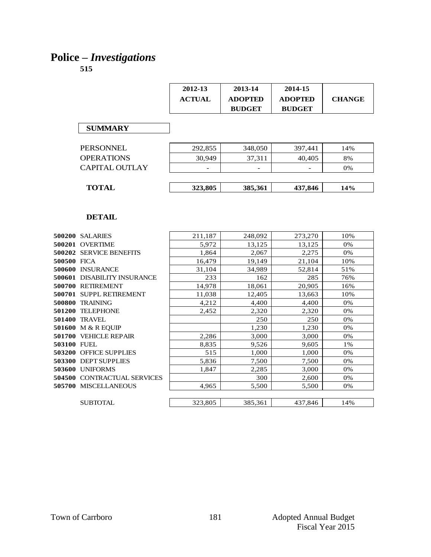# **Police –** *Investigations*

|             |                                    | 2012-13       | 2013-14        | 2014-15        |               |
|-------------|------------------------------------|---------------|----------------|----------------|---------------|
|             |                                    | <b>ACTUAL</b> | <b>ADOPTED</b> | <b>ADOPTED</b> | <b>CHANGE</b> |
|             |                                    |               | <b>BUDGET</b>  | <b>BUDGET</b>  |               |
|             |                                    |               |                |                |               |
|             | <b>SUMMARY</b>                     |               |                |                |               |
|             |                                    |               |                |                |               |
|             | <b>PERSONNEL</b>                   | 292,855       | 348,050        | 397,441        | 14%           |
|             | <b>OPERATIONS</b>                  | 30.949        | 37,311         | 40.405         | 8%            |
|             |                                    |               |                |                |               |
|             | <b>CAPITAL OUTLAY</b>              |               |                |                | 0%            |
|             |                                    |               |                |                |               |
|             | <b>TOTAL</b>                       | 323,805       | 385,361        | 437,846        | 14%           |
|             |                                    |               |                |                |               |
|             |                                    |               |                |                |               |
|             | <b>DETAIL</b>                      |               |                |                |               |
|             |                                    |               |                |                |               |
|             | 500200 SALARIES                    | 211,187       | 248,092        | 273,270        | 10%           |
|             | 500201 OVERTIME                    | 5,972         | 13,125         | 13,125         | 0%            |
|             | 500202 SERVICE BENEFITS            | 1,864         | 2,067          | 2,275          | 0%            |
| 500500 FICA |                                    | 16,479        | 19.149         | 21.104         | 10%           |
|             | 500600 INSURANCE                   | 31,104        | 34,989         | 52,814         | 51%           |
|             | 500601 DISABILITY INSURANCE        | 233           | 162            | 285            | 76%           |
|             | 500700 RETIREMENT                  | 14,978        | 18,061         | 20,905         | 16%           |
|             | 500701 SUPPL RETIREMENT            | 11,038        | 12,405         | 13,663         | 10%           |
|             | 500800 TRAINING                    | 4,212         | 4,400          | 4,400          | 0%            |
|             | 501200 TELEPHONE                   | 2.452         | 2,320          | 2,320          | 0%            |
|             | 501400 TRAVEL                      |               | 250            | 250            | 0%            |
|             | 501600 M & R EQUIP                 |               | 1,230          | 1,230          | 0%            |
|             | 501700 VEHICLE REPAIR              | 2,286         | 3,000          | 3,000          | 0%            |
| 503100 FUEL |                                    | 8,835         | 9,526          | 9,605          | 1%            |
|             | <b>503200 OFFICE SUPPLIES</b>      | 515           | 1,000          | 1,000          | 0%            |
|             | 503300 DEPT SUPPLIES               | 5.836         | 7,500          | 7,500          | 0%            |
|             | 503600 UNIFORMS                    | 1.847         | 2.285          | 3,000          | 0%            |
|             | <b>504500 CONTRACTUAL SERVICES</b> |               | 300            | 2,600          | 0%            |
|             | 505700 MISCELLANEOUS               | 4,965         | 5,500          | 5.500          | 0%            |
|             |                                    |               |                |                |               |
|             | <b>SUBTOTAL</b>                    | 323,805       | 385,361        | 437,846        | 14%           |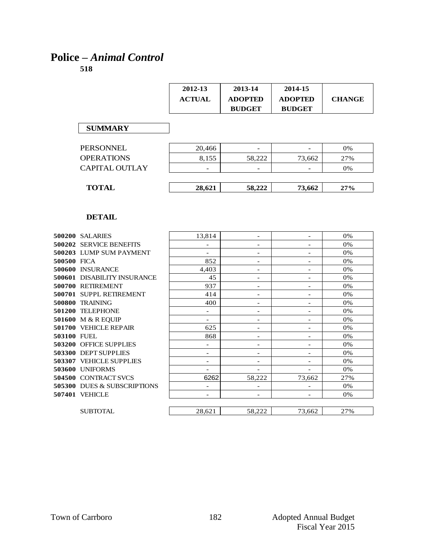## **Police –** *Animal Control*

|                                | 2012-13                  | 2013-14                  | 2014-15                  |               |
|--------------------------------|--------------------------|--------------------------|--------------------------|---------------|
|                                | <b>ACTUAL</b>            | <b>ADOPTED</b>           | <b>ADOPTED</b>           | <b>CHANGE</b> |
|                                |                          | <b>BUDGET</b>            | <b>BUDGET</b>            |               |
|                                |                          |                          |                          |               |
| <b>SUMMARY</b>                 |                          |                          |                          |               |
|                                |                          |                          |                          |               |
| <b>PERSONNEL</b>               | 20,466                   |                          |                          | 0%            |
| <b>OPERATIONS</b>              | 8.155                    | 58.222                   | 73,662                   | 27%           |
| <b>CAPITAL OUTLAY</b>          |                          |                          |                          | 0%            |
| <b>TOTAL</b>                   | 28,621                   | 58,222                   | 73,662                   | 27%           |
|                                |                          |                          |                          |               |
|                                |                          |                          |                          |               |
| <b>DETAIL</b>                  |                          |                          |                          |               |
| <b>500200 SALARIES</b>         | 13.814                   | $\overline{\phantom{a}}$ | $\overline{\phantom{a}}$ | 0%            |
| <b>500202 SERVICE BENEFITS</b> | $\overline{\phantom{a}}$ | $\overline{\phantom{a}}$ | $\overline{\phantom{a}}$ | 0%            |
| 500203 LUMP SUM PAYMENT        |                          | $\overline{\phantom{0}}$ | $\overline{\phantom{0}}$ | 0%            |
| 500500 FICA                    | 852                      | $\overline{\phantom{a}}$ | $\overline{\phantom{a}}$ | 0%            |
| 500600 INSURANCE               | 4,403                    | $\overline{\phantom{a}}$ | $\overline{\phantom{a}}$ | 0%            |
| 500601 DISABILITY INSURANCE    | 45                       | $\overline{\phantom{a}}$ | $\overline{\phantom{0}}$ | 0%            |
| 500700 RETIREMENT              | 937                      | $\overline{a}$           | $\overline{a}$           | 0%            |
| 500701 SUPPL RETIREMENT        | 414                      | $\overline{\phantom{a}}$ | $\overline{\phantom{a}}$ | 0%            |
| 500800 TRAINING                | 400                      | $\overline{\phantom{a}}$ | $\overline{\phantom{a}}$ | 0%            |
| 501200 TELEPHONE               | $\overline{\phantom{a}}$ | $\overline{\phantom{a}}$ | $\overline{\phantom{a}}$ | 0%            |
| 501600 M & R EQUIP             | $\overline{\phantom{a}}$ | $\qquad \qquad -$        | $\overline{\phantom{0}}$ | 0%            |
| 501700 VEHICLE REPAIR          | 625                      | $\overline{\phantom{a}}$ | $\overline{a}$           | 0%            |
| 503100 FUEL                    | 868                      | $\overline{a}$           | $\overline{\phantom{a}}$ | 0%            |
| 503200 OFFICE SUPPLIES         |                          |                          |                          | 0%            |
| 503300 DEPT SUPPLIES           | $\overline{\phantom{a}}$ | $\overline{\phantom{a}}$ |                          | 0%            |
| 503307 VEHICLE SUPPLIES        | $\overline{\phantom{0}}$ | $\overline{\phantom{a}}$ | $\overline{\phantom{a}}$ | 0%            |
| 503600 UNIFORMS                | $\overline{\phantom{a}}$ | $\overline{\phantom{a}}$ |                          | 0%            |
| 504500 CONTRACT SVCS           | 6262                     | 58,222                   | 73.662                   | 27%           |
| 505300 DUES & SUBSCRIPTIONS    | $\overline{\phantom{a}}$ | $\overline{\phantom{a}}$ | $\overline{\phantom{a}}$ | 0%            |
| 507401 VEHICLE                 | $\overline{a}$           | $\overline{\phantom{a}}$ | $\overline{a}$           | 0%            |
| <b>SUBTOTAL</b>                | 28,621                   | 58,222                   | 73,662                   | 27%           |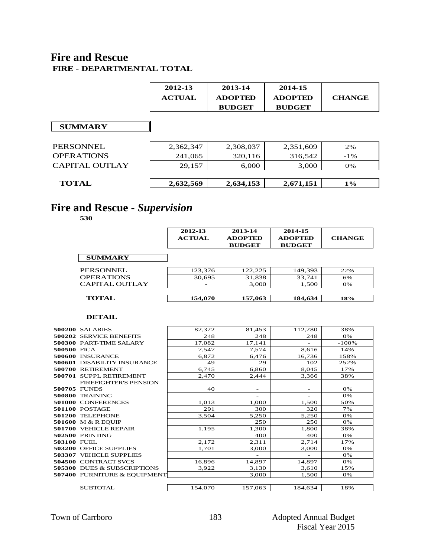#### **Fire and Rescue FIRE - DEPARTMENTAL TOTAL**

| 2012-13       | 2013-14        | 2014-15        |               |
|---------------|----------------|----------------|---------------|
| <b>ACTUAL</b> | <b>ADOPTED</b> | <b>ADOPTED</b> | <b>CHANGE</b> |
|               | <b>BUDGET</b>  | <b>BUDGET</b>  |               |

#### **SUMMARY**

| <b>SUMMARY</b>        |           |           |           |        |
|-----------------------|-----------|-----------|-----------|--------|
|                       |           |           |           |        |
| <b>PERSONNEL</b>      | 2,362,347 | 2,308,037 | 2,351,609 | 2%     |
| <b>OPERATIONS</b>     | 241,065   | 320,116   | 316,542   | $-1\%$ |
| <b>CAPITAL OUTLAY</b> | 29,157    | 6,000     | 3,000     | 0%     |
|                       |           |           |           |        |
| <b>TOTAL</b>          | 2,632,569 | 2,634,153 | 2,671,151 | $1\%$  |
|                       |           |           |           |        |

# **Fire and Rescue -** *Supervision*

**530**

|                       | 2012-13<br><b>ACTUAL</b> | 2013-14<br><b>ADOPTED</b><br><b>BUDGET</b> | 2014-15<br><b>ADOPTED</b><br><b>BUDGET</b> | <b>CHANGE</b> |
|-----------------------|--------------------------|--------------------------------------------|--------------------------------------------|---------------|
| <b>SUMMARY</b>        |                          |                                            |                                            |               |
| PERSONNEL             | 123.376                  | 122.225                                    | 149,393                                    | 22%           |
| <b>OPERATIONS</b>     | 30,695                   | 31,838                                     | 33,741                                     | 6%            |
| <b>CAPITAL OUTLAY</b> |                          | 3,000                                      | 1,500                                      | 0%            |
| <b>TOTAL</b>          | 154,070                  | 157,063                                    | 184,634                                    | 18%           |

|                    | DETAIL                                 |         |                          |         |         |
|--------------------|----------------------------------------|---------|--------------------------|---------|---------|
|                    | <b>500200 SALARIES</b>                 | 82,322  | 81,453                   | 112,280 | 38%     |
|                    | <b>500202 SERVICE BENEFITS</b>         | 248     | 248                      | 248     | 0%      |
|                    | <b>500300 PART-TIME SALARY</b>         | 17,082  | 17,141                   |         | $-100%$ |
| 500500 FICA        |                                        | 7,547   | 7,574                    | 8,616   | 14%     |
|                    | 500600 INSURANCE                       | 6,872   | 6,476                    | 16,736  | 158%    |
|                    | <b>500601 DISABILITY INSURANCE</b>     | 49      | 29                       | 102     | 252%    |
|                    | 500700 RETIREMENT                      | 6,745   | 6,860                    | 8,045   | 17%     |
|                    | 500701 SUPPL RETIREMENT                | 2,470   | 2,444                    | 3,366   | 38%     |
|                    | <b>FIREFIGHTER'S PENSION</b>           |         |                          |         |         |
| 500705 FUNDS       |                                        | 40      | $\overline{\phantom{0}}$ |         | 0%      |
|                    | 500800 TRAINING                        |         |                          |         | 0%      |
|                    | 501000 CONFERENCES                     | 1,013   | 1,000                    | 1,500   | 50%     |
|                    | 501100 POSTAGE                         | 291     | 300                      | 320     | 7%      |
|                    | 501200 TELEPHONE                       | 3,504   | 5,250                    | 5,250   | 0%      |
|                    | 501600 M & R EQUIP                     |         | 250                      | 250     | 0%      |
|                    | <b>501700 VEHICLE REPAIR</b>           | 1,195   | 1,300                    | 1,800   | 38%     |
|                    | 502500 PRINTING                        |         | 400                      | 400     | 0%      |
| <b>503100 FUEL</b> |                                        | 2,172   | 2,311                    | 2,714   | 17%     |
|                    | 503200 OFFICE SUPPLIES                 | 1,701   | 3,000                    | 3,000   | 0%      |
|                    | 503307 VEHICLE SUPPLIES                |         |                          |         | 0%      |
|                    | 504500 CONTRACT SVCS                   | 16,896  | 14,897                   | 14,897  | 0%      |
|                    | <b>505300 DUES &amp; SUBSCRIPTIONS</b> | 3,922   | 3,130                    | 3,610   | 15%     |
|                    | 507400 FURNITURE & EQUIPMENT           |         | 3,000                    | 1,500   | 0%      |
|                    |                                        |         |                          |         |         |
|                    | SUBTOTAL                               | 154,070 | 157,063                  | 184,634 | 18%     |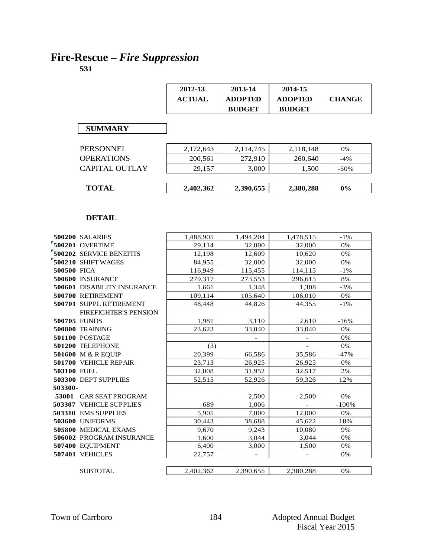# **Fire-Rescue –** *Fire Suppression*

|             |                              | 2012-13       | 2013-14                  | 2014-15                  |               |
|-------------|------------------------------|---------------|--------------------------|--------------------------|---------------|
|             |                              |               |                          |                          |               |
|             |                              | <b>ACTUAL</b> | <b>ADOPTED</b>           | <b>ADOPTED</b>           | <b>CHANGE</b> |
|             |                              |               | <b>BUDGET</b>            | <b>BUDGET</b>            |               |
|             |                              |               |                          |                          |               |
|             | <b>SUMMARY</b>               |               |                          |                          |               |
|             |                              |               |                          |                          |               |
|             | PERSONNEL                    | 2,172,643     | 2,114,745                | 2,118,148                | 0%            |
|             | <b>OPERATIONS</b>            | 200,561       | 272,910                  | 260,640                  | $-4%$         |
|             | <b>CAPITAL OUTLAY</b>        | 29,157        | 3,000                    | 1,500                    | $-50%$        |
|             |                              |               |                          |                          |               |
|             | <b>TOTAL</b>                 | 2,402,362     | 2,390,655                | 2,380,288                | $0\%$         |
|             |                              |               |                          |                          |               |
|             |                              |               |                          |                          |               |
|             |                              |               |                          |                          |               |
|             | <b>DETAIL</b>                |               |                          |                          |               |
|             |                              |               |                          |                          |               |
|             | <b>500200 SALARIES</b>       | 1,488,905     | 1,494,204                | 1,478,515                | $-1\%$        |
|             | 500201 OVERTIME              | 29.114        | 32,000                   | 32,000                   | 0%            |
|             | 500202 SERVICE BENEFITS      | 12,198        | 12,609                   | 10.620                   | 0%            |
|             | 500210 SHIFT WAGES           | 84,955        | 32,000                   | 32,000                   | 0%            |
| 500500 FICA |                              | 116,949       | 115,455                  | 114,115                  | $-1\%$        |
|             | 500600 INSURANCE             | 279,317       | 273,553                  | 296,615                  | 8%            |
|             | 500601 DISABILITY INSURANCE  | 1,661         | 1,348                    | 1,308                    | $-3%$         |
|             | 500700 RETIREMENT            | 109,114       | 105,640                  | 106,010                  | 0%            |
|             | 500701 SUPPL RETIREMENT      | 48,448        | 44,826                   | 44,355                   | $-1\%$        |
|             | <b>FIREFIGHTER'S PENSION</b> |               |                          |                          |               |
|             | <b>500705 FUNDS</b>          | 1,981         | 3,110                    | 2,610                    | $-16%$        |
|             | 500800 TRAINING              | 23,623        | 33,040                   | 33,040                   | 0%            |
|             | 501100 POSTAGE               |               |                          |                          | 0%            |
|             | 501200 TELEPHONE             | (3)           |                          |                          | 0%            |
|             | 501600 M & R EQUIP           | 20,399        | 66,586                   | 35,586                   | $-47%$        |
|             | 501700 VEHICLE REPAIR        | 23,713        | 26,925                   | 26,925                   | 0%            |
| 503100 FUEL |                              | 32,008        | 31,952                   | 32,517                   | 2%            |
|             | 503300 DEPT SUPPLIES         | 52,515        | 52,926                   | 59,326                   | 12%           |
| 503300-     |                              |               |                          |                          |               |
|             | 53001 CAR SEAT PROGRAM       |               | 2,500                    | 2,500                    | $0\%$         |
|             | 503307 VEHICLE SUPPLIES      | 689           | 1,006                    |                          | $-100%$       |
|             | 503310 EMS SUPPLIES          | 5,905         | 7,000                    | 12,000                   | 0%            |
|             | 503600 UNIFORMS              | 30,443        | 38,688                   | 45,622                   | 18%           |
|             | 505800 MEDICAL EXAMS         | 9,670         | 9,243                    | 10,080                   | 9%            |
|             | 506002 PROGRAM INSURANCE     | 1,600         | 3,044                    | 3,044                    | 0%            |
|             | 507400 EQUIPMENT             | 6,400         | 3,000                    | 1,500                    | 0%            |
|             | 507401 VEHICLES              | 22,757        | $\overline{\phantom{0}}$ | $\overline{\phantom{a}}$ | 0%            |
|             | <b>SUBTOTAL</b>              |               |                          |                          |               |
|             |                              | 2,402,362     | 2,390,655                | 2,380,288                | 0%            |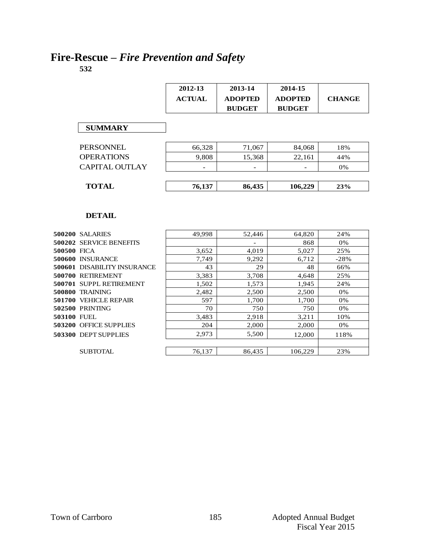# **Fire-Rescue –** *Fire Prevention and Safety*

**532**

|             |                                    | 2012-13       | 2013-14        | 2014-15        |               |
|-------------|------------------------------------|---------------|----------------|----------------|---------------|
|             |                                    | <b>ACTUAL</b> | <b>ADOPTED</b> | <b>ADOPTED</b> | <b>CHANGE</b> |
|             |                                    |               | <b>BUDGET</b>  | <b>BUDGET</b>  |               |
|             |                                    |               |                |                |               |
|             | <b>SUMMARY</b>                     |               |                |                |               |
|             |                                    |               |                |                |               |
|             | <b>PERSONNEL</b>                   | 66,328        | 71,067         | 84,068         | 18%           |
|             | <b>OPERATIONS</b>                  | 9,808         | 15,368         | 22,161         | 44%           |
|             | <b>CAPITAL OUTLAY</b>              |               |                |                | 0%            |
|             |                                    |               |                |                |               |
|             | <b>TOTAL</b>                       | 76,137        | 86,435         | 106,229        | 23%           |
|             |                                    |               |                |                |               |
|             |                                    |               |                |                |               |
|             | <b>DETAIL</b>                      |               |                |                |               |
|             |                                    |               |                |                |               |
|             | <b>500200 SALARIES</b>             | 49,998        | 52,446         | 64,820         | 24%           |
|             | <b>500202 SERVICE BENEFITS</b>     |               |                | 868            | $0\%$         |
| 500500 FICA |                                    | 3,652         | 4,019          | 5,027          | 25%           |
|             | 500600 INSURANCE                   | 7.749         | 9.292          | 6.712          | $-28%$        |
|             | <b>500601 DISABILITY INSURANCE</b> | 43            | 29             | 48             | 66%           |
|             | 500700 RETIREMENT                  | 3,383         | 3,708          | 4,648          | 25%           |
|             | 500701 SUPPL RETIREMENT            | 1,502         | 1,573          | 1,945          | 24%           |
|             | <b>500800 TRAINING</b>             | 2,482         | 2,500          | 2,500          | 0%            |
|             | 501700 VEHICLE REPAIR              | 597           | 1,700          | 1,700          | 0%            |
|             | 502500 PRINTING                    | 70            | 750            | 750            | 0%            |
| 503100 FUEL |                                    | 3,483         | 2,918          | 3,211          | 10%           |
|             | 503200 OFFICE SUPPLIES             | 204           | 2,000          | 2,000          | 0%            |
|             | 503300 DEPT SUPPLIES               | 2,973         | 5,500          | 12,000         | 118%          |

SUBTOTAL 76,137 86,435 106,229 23%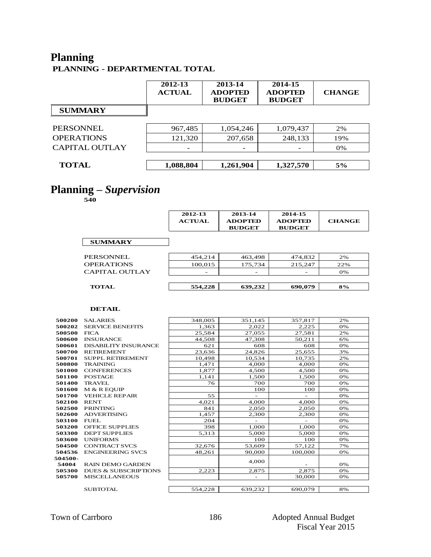## **Planning PLANNING - DEPARTMENTAL TOTAL**

|                       | 2012-13<br><b>ACTUAL</b> | 2013-14<br><b>ADOPTED</b><br><b>BUDGET</b> | 2014-15<br><b>ADOPTED</b><br><b>BUDGET</b> | <b>CHANGE</b> |
|-----------------------|--------------------------|--------------------------------------------|--------------------------------------------|---------------|
| <b>SUMMARY</b>        |                          |                                            |                                            |               |
|                       |                          |                                            |                                            |               |
| <b>PERSONNEL</b>      | 967,485                  | 1,054,246                                  | 1,079,437                                  | 2%            |
| <b>OPERATIONS</b>     | 121,320                  | 207,658                                    | 248,133                                    | 19%           |
| <b>CAPITAL OUTLAY</b> |                          |                                            |                                            | 0%            |
|                       |                          |                                            |                                            |               |
| <b>TOTAL</b>          | 1,088,804                | 1,261,904                                  | 1,327,570                                  | 5%            |
|                       |                          |                                            |                                            |               |

#### **Planning –** *Supervision*

**540**

|                   | 2012-13<br><b>ACTUAL</b> | 2013-14<br><b>ADOPTED</b><br><b>BUDGET</b> | 2014-15<br><b>ADOPTED</b><br><b>BUDGET</b> | <b>CHANGE</b> |
|-------------------|--------------------------|--------------------------------------------|--------------------------------------------|---------------|
| <b>SUMMARY</b>    |                          |                                            |                                            |               |
| PERSONNEL.        | 454,214                  | 463,498                                    | 474,832                                    | 2%            |
| <b>OPERATIONS</b> | 100,015                  | 175,734                                    | 215,247                                    | 22%           |
| CAPITAL OUTLAY    |                          |                                            |                                            | 0%            |
| <b>TOTAL</b>      | 554,228                  | 639,232                                    | 690,079                                    | 8%            |

|         | TOTAL                           | 554,228 | 639,232                  | 690,079                  | $8\%$ |
|---------|---------------------------------|---------|--------------------------|--------------------------|-------|
|         |                                 |         |                          |                          |       |
|         | DETAIL                          |         |                          |                          |       |
| 500200  | <b>SALARIES</b>                 | 348,005 | 351,145                  | 357,817                  | 2%    |
| 500202  | <b>SERVICE BENEFITS</b>         | 1,363   | 2,022                    | 2,225                    | 0%    |
| 500500  | <b>FICA</b>                     | 25,584  | 27,055                   | 27.581                   | 2%    |
| 500600  | <b>INSURANCE</b>                | 44,508  | 47.308                   | 50,211                   | 6%    |
| 500601  | <b>DISABILITY INSURANCE</b>     | 621     | 608                      | 608                      | 0%    |
| 500700  | <b>RETIREMENT</b>               | 23,636  | 24,826                   | 25,655                   | 3%    |
| 500701  | <b>SUPPL RETIREMENT</b>         | 10,498  | 10.534                   | 10,735                   | 2%    |
| 500800  | <b>TRAINING</b>                 | 1,471   | 4,000                    | 4,000                    | 0%    |
| 501000  | <b>CONFERENCES</b>              | 1.877   | 4,500                    | 4,500                    | 0%    |
| 501100  | <b>POSTAGE</b>                  | 1,141   | 1,500                    | 1,500                    | 0%    |
| 501400  | <b>TRAVEL</b>                   | 76      | 700                      | 700                      | 0%    |
| 501600  | M & R EOUIP                     |         | 100                      | 100                      | 0%    |
| 501700  | <b>VEHICLE REPAIR</b>           | 55      | $\overline{\phantom{a}}$ | $\overline{\phantom{a}}$ | 0%    |
| 502100  | <b>RENT</b>                     | 4,021   | 4.000                    | 4,000                    | 0%    |
| 502500  | <b>PRINTING</b>                 | 841     | 2.050                    | 2.050                    | 0%    |
| 502600  | <b>ADVERTISING</b>              | 1.457   | 2,300                    | 2,300                    | 0%    |
| 503100  | <b>FUEL</b>                     | 204     |                          |                          | 0%    |
| 503200  | <b>OFFICE SUPPLIES</b>          | 398     | 1.000                    | 1,000                    | 0%    |
| 503300  | <b>DEPT SUPPLIES</b>            | 5,313   | 5,000                    | 5,000                    | 0%    |
| 503600  | <b>UNIFORMS</b>                 |         | 100                      | 100                      | 0%    |
| 504500  | <b>CONTRACT SVCS</b>            | 32,676  | 53,609                   | 57,122                   | 7%    |
| 504536  | <b>ENGINEERING SVCS</b>         | 48,261  | 90,000                   | 100,000                  | 0%    |
| 504500- |                                 |         | 4,000                    |                          |       |
| 54004   | <b>RAIN DEMO GARDEN</b>         |         |                          |                          | 0%    |
| 505300  | <b>DUES &amp; SUBSCRIPTIONS</b> | 2.223   | 2.875                    | 2,875                    | 0%    |
| 505700  | <b>MISCELLANEOUS</b>            |         |                          | 30,000                   | 0%    |
|         |                                 |         |                          |                          |       |
|         | <b>SUBTOTAL</b>                 | 554.228 | 639,232                  | 690.079                  | 8%    |
|         |                                 |         |                          |                          |       |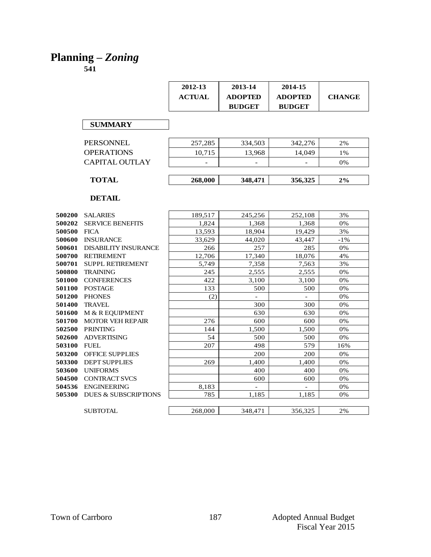# **Planning –** *Zoning*

|               |                                 | 2012-13       | 2013-14        | 2014-15        |               |
|---------------|---------------------------------|---------------|----------------|----------------|---------------|
|               |                                 | <b>ACTUAL</b> | <b>ADOPTED</b> | <b>ADOPTED</b> | <b>CHANGE</b> |
|               |                                 |               | <b>BUDGET</b>  | <b>BUDGET</b>  |               |
|               |                                 |               |                |                |               |
|               | <b>SUMMARY</b>                  |               |                |                |               |
|               | <b>PERSONNEL</b>                | 257,285       | 334,503        | 342,276        | 2%            |
|               | <b>OPERATIONS</b>               | 10,715        | 13,968         | 14,049         | 1%            |
|               |                                 |               |                |                |               |
|               | <b>CAPITAL OUTLAY</b>           |               |                |                | 0%            |
|               | <b>TOTAL</b>                    | 268,000       | 348,471        | 356,325        | 2%            |
|               | <b>DETAIL</b>                   |               |                |                |               |
|               |                                 |               |                |                |               |
| 500200        | <b>SALARIES</b>                 | 189,517       | 245,256        | 252,108        | 3%            |
| 500202        | <b>SERVICE BENEFITS</b>         | 1,824         | 1,368          | 1,368          | 0%            |
| 500500        | <b>FICA</b>                     | 13,593        | 18,904         | 19,429         | 3%            |
| 500600        | <b>INSURANCE</b>                | 33.629        | 44.020         | 43.447         | $-1\%$        |
| 500601        | <b>DISABILITY INSURANCE</b>     | 266           | 257            | 285            | 0%            |
| 500700        | <b>RETIREMENT</b>               | 12,706        | 17.340         | 18,076         | 4%            |
| 500701        | <b>SUPPL RETIREMENT</b>         | 5,749         | 7,358          | 7,563          | 3%            |
| 500800        | <b>TRAINING</b>                 | 245           | 2,555          | 2,555          | 0%            |
| 501000        | <b>CONFERENCES</b>              | 422           | 3,100          | 3,100          | 0%            |
| 501100        | <b>POSTAGE</b>                  | 133           | 500            | 500            | 0%            |
| 501200        | <b>PHONES</b>                   | (2)           |                | $\equiv$       | 0%            |
| 501400        | <b>TRAVEL</b>                   |               | 300            | 300            | 0%            |
| 501600        | M & R EQUIPMENT                 |               | 630            | 630            | 0%            |
| 501700        | <b>MOTOR VEH REPAIR</b>         | 276           | 600            | 600            | 0%            |
| 502500        | <b>PRINTING</b>                 | 144           | 1,500          | 1,500          | 0%            |
| 502600        | <b>ADVERTISING</b>              | 54            | 500            | 500            | 0%            |
| 503100        | <b>FUEL</b>                     | 207           | 498            | 579            | 16%           |
| <b>503200</b> | OFFICE SUPPLIES                 |               | 200            | 200            | 0%            |
| 503300        | <b>DEPT SUPPLIES</b>            | 269           | 1,400          | 1,400          | 0%            |
| 503600        | <b>UNIFORMS</b>                 |               | 400            | 400            | $0\%$         |
| 504500        | <b>CONTRACT SVCS</b>            |               | 600            | 600            | 0%            |
| 504536        | <b>ENGINEERING</b>              | 8,183         |                |                | 0%            |
| 505300        | <b>DUES &amp; SUBSCRIPTIONS</b> | 785           | 1.185          | 1.185          | 0%            |
|               | <b>SUBTOTAL</b>                 | 268,000       | 348,471        | 356,325        | 2%            |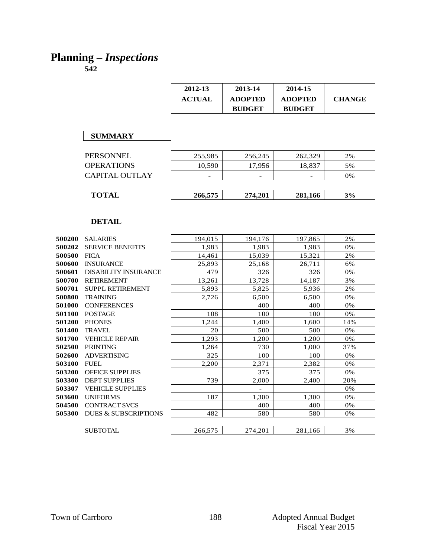# **Planning –** *Inspections*

|        |                             | 2012-13<br><b>ACTUAL</b> | 2013-14<br><b>ADOPTED</b><br><b>BUDGET</b> | 2014-15<br><b>ADOPTED</b><br><b>BUDGET</b> | <b>CHANGE</b> |
|--------|-----------------------------|--------------------------|--------------------------------------------|--------------------------------------------|---------------|
|        | <b>SUMMARY</b>              |                          |                                            |                                            |               |
|        |                             |                          |                                            |                                            |               |
|        | <b>PERSONNEL</b>            | 255,985                  | 256,245                                    | 262,329                                    | 2%            |
|        | <b>OPERATIONS</b>           | 10,590                   | 17,956                                     | 18,837                                     | 5%            |
|        | CAPITAL OUTLAY              |                          |                                            |                                            | 0%            |
|        |                             |                          |                                            |                                            |               |
|        | <b>TOTAL</b>                | 266,575                  | 274,201                                    | 281,166                                    | 3%            |
|        |                             |                          |                                            |                                            |               |
|        | <b>DETAIL</b>               |                          |                                            |                                            |               |
| 500200 | <b>SALARIES</b>             | 194,015                  | 194,176                                    | 197,865                                    | 2%            |
| 500202 | <b>SERVICE BENEFITS</b>     | 1,983                    | 1,983                                      | 1,983                                      | 0%            |
| 500500 | <b>FICA</b>                 | 14,461                   | 15,039                                     | 15,321                                     | 2%            |
| 500600 | <b>INSURANCE</b>            | 25,893                   | 25,168                                     | 26,711                                     | 6%            |
| 500601 | <b>DISABILITY INSURANCE</b> | 479                      | 326                                        | 326                                        | 0%            |

| 500200 | <b>SALARIES</b>                 | 194,015 | 194,176 | 197,865 | 2%  |
|--------|---------------------------------|---------|---------|---------|-----|
| 500202 | <b>SERVICE BENEFITS</b>         | 1,983   | 1,983   | 1,983   | 0%  |
| 500500 | <b>FICA</b>                     | 14,461  | 15,039  | 15,321  | 2%  |
| 500600 | <b>INSURANCE</b>                | 25,893  | 25,168  | 26,711  | 6%  |
| 500601 | <b>DISABILITY INSURANCE</b>     | 479     | 326     | 326     | 0%  |
| 500700 | <b>RETIREMENT</b>               | 13,261  | 13,728  | 14,187  | 3%  |
| 500701 | <b>SUPPL RETIREMENT</b>         | 5,893   | 5,825   | 5,936   | 2%  |
| 500800 | <b>TRAINING</b>                 | 2,726   | 6,500   | 6,500   | 0%  |
| 501000 | <b>CONFERENCES</b>              |         | 400     | 400     | 0%  |
| 501100 | <b>POSTAGE</b>                  | 108     | 100     | 100     | 0%  |
| 501200 | <b>PHONES</b>                   | 1,244   | 1,400   | 1,600   | 14% |
| 501400 | <b>TRAVEL</b>                   | 20      | 500     | 500     | 0%  |
| 501700 | <b>VEHICLE REPAIR</b>           | 1,293   | 1,200   | 1,200   | 0%  |
| 502500 | <b>PRINTING</b>                 | 1,264   | 730     | 1,000   | 37% |
| 502600 | <b>ADVERTISING</b>              | 325     | 100     | 100     | 0%  |
| 503100 | <b>FUEL</b>                     | 2,200   | 2,371   | 2,382   | 0%  |
| 503200 | <b>OFFICE SUPPLIES</b>          |         | 375     | 375     | 0%  |
| 503300 | <b>DEPT SUPPLIES</b>            | 739     | 2,000   | 2,400   | 20% |
| 503307 | <b>VEHICLE SUPPLIES</b>         |         |         |         | 0%  |
| 503600 | <b>UNIFORMS</b>                 | 187     | 1,300   | 1,300   | 0%  |
| 504500 | <b>CONTRACT SVCS</b>            |         | 400     | 400     | 0%  |
| 505300 | <b>DUES &amp; SUBSCRIPTIONS</b> | 482     | 580     | 580     | 0%  |
|        |                                 |         |         |         |     |
|        | <b>SUBTOTAL</b>                 | 266,575 | 274,201 | 281,166 | 3%  |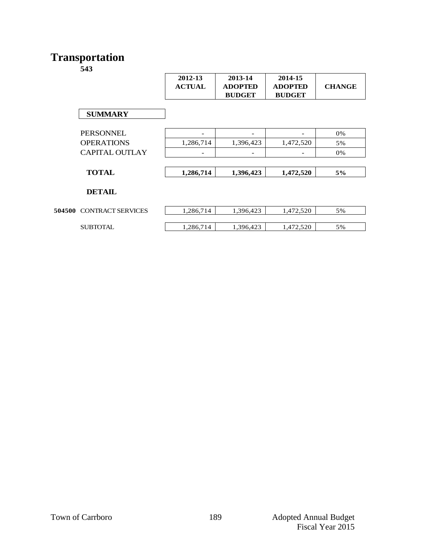#### **Transportation**

|        |                          | 2012-13<br><b>ACTUAL</b> | 2013-14<br><b>ADOPTED</b><br><b>BUDGET</b> | 2014-15<br><b>ADOPTED</b><br><b>BUDGET</b> | <b>CHANGE</b> |
|--------|--------------------------|--------------------------|--------------------------------------------|--------------------------------------------|---------------|
|        | <b>SUMMARY</b>           |                          |                                            |                                            |               |
|        | <b>PERSONNEL</b>         |                          |                                            |                                            | 0%            |
|        | <b>OPERATIONS</b>        | 1,286,714                | 1,396,423                                  | 1,472,520                                  | 5%            |
|        | <b>CAPITAL OUTLAY</b>    | -                        | -                                          |                                            | 0%            |
|        |                          |                          |                                            |                                            |               |
|        | <b>TOTAL</b>             | 1,286,714                | 1,396,423                                  | 1,472,520                                  | 5%            |
|        | <b>DETAIL</b>            |                          |                                            |                                            |               |
| 504500 | <b>CONTRACT SERVICES</b> | 1,286,714                | 1,396,423                                  | 1,472,520                                  | 5%            |
|        | <b>SUBTOTAL</b>          | 1,286,714                | 1,396,423                                  | 1,472,520                                  | 5%            |
|        |                          |                          |                                            |                                            |               |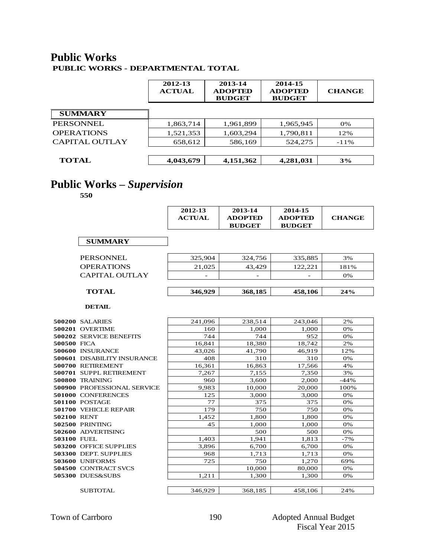#### **Public Works PUBLIC WORKS - DEPARTMENTAL TOTAL**

|                       | 2012-13<br><b>ACTUAL</b> | 2013-14<br><b>ADOPTED</b><br><b>BUDGET</b> | 2014-15<br><b>ADOPTED</b><br><b>BUDGET</b> | <b>CHANGE</b> |
|-----------------------|--------------------------|--------------------------------------------|--------------------------------------------|---------------|
| <b>SUMMARY</b>        |                          |                                            |                                            |               |
| <b>PERSONNEL</b>      | 1,863,714                | 1,961,899                                  | 1,965,945                                  | 0%            |
| <b>OPERATIONS</b>     | 1,521,353                | 1,603,294                                  | 1,790,811                                  | 12%           |
| <b>CAPITAL OUTLAY</b> | 658,612                  | 586,169                                    | 524,275                                    | $-11\%$       |
|                       |                          |                                            |                                            |               |
| <b>TOTAL</b>          | 4,043,679                | 4,151,362                                  | 4,281,031                                  | 3%            |

## **Public Works –** *Supervision*

**550**

| 2012-13       | 2013-14        | 2014-15        |               |
|---------------|----------------|----------------|---------------|
| <b>ACTUAL</b> | <b>ADOPTED</b> | <b>ADOPTED</b> | <b>CHANGE</b> |
|               | <b>BUDGET</b>  | <b>BUDGET</b>  |               |

|                       |         | <b>BUDGET</b> | <b>BUDGET</b> |      |
|-----------------------|---------|---------------|---------------|------|
| <b>SUMMARY</b>        |         |               |               |      |
| <b>PERSONNEL</b>      | 325,904 | 324,756       | 335,885       | 3%   |
| <b>OPERATIONS</b>     | 21,025  | 43,429        | 122.221       | 181% |
| <b>CAPITAL OUTLAY</b> |         |               |               | 0%   |
|                       |         |               |               |      |
| <b>TOTAL</b>          | 346,929 | 368,185       | 458,106       | 24%  |

|             | <b>TOTAL</b>                       | 346,929 | 368,185 | 458,106 | 24%    |
|-------------|------------------------------------|---------|---------|---------|--------|
|             | <b>DETAIL</b>                      |         |         |         |        |
|             | <b>500200 SALARIES</b>             | 241,096 | 238,514 | 243,046 | 2%     |
|             | 500201 OVERTIME                    | 160     | 1,000   | 1.000   | 0%     |
|             | <b>500202 SERVICE BENEFITS</b>     | 744     | 744     | 952     | 0%     |
| 500500 FICA |                                    | 16,841  | 18,380  | 18,742  | 2%     |
|             | 500600 INSURANCE                   | 43,026  | 41,790  | 46,919  | 12%    |
|             | <b>500601 DISABILITY INSURANCE</b> | 408     | 310     | 310     | 0%     |
|             | 500700 RETIREMENT                  | 16,361  | 16,863  | 17,566  | 4%     |
|             | 500701 SUPPL RETIREMENT            | 7,267   | 7,155   | 7,350   | 3%     |
|             | 500800 TRAINING                    | 960     | 3,600   | 2.000   | $-44%$ |
|             | <b>500900 PROFESSIONAL SERVICE</b> | 9,983   | 10,000  | 20,000  | 100%   |
|             | 501000 CONFERENCES                 | 125     | 3,000   | 3,000   | 0%     |
|             | 501100 POSTAGE                     | 77      | 375     | 375     | 0%     |
|             | 501700 VEHICLE REPAIR              | 179     | 750     | 750     | 0%     |
| 502100 RENT |                                    | 1,452   | 1,800   | 1.800   | 0%     |
|             | <b>502500 PRINTING</b>             | 45      | 1,000   | 1,000   | 0%     |
|             | 502600 ADVERTISING                 |         | 500     | 500     | 0%     |
| 503100 FUEL |                                    | 1,403   | 1,941   | 1,813   | $-7%$  |
|             | 503200 OFFICE SUPPLIES             | 3,896   | 6,700   | 6,700   | 0%     |
|             | 503300 DEPT. SUPPLIES              | 968     | 1,713   | 1,713   | 0%     |
|             | 503600 UNIFORMS                    | 725     | 750     | 1,270   | 69%    |
|             | 504500 CONTRACT SVCS               |         | 10,000  | 80,000  | 0%     |
|             | 505300 DUES&SUBS                   | 1,211   | 1,300   | 1,300   | 0%     |
|             |                                    |         |         |         |        |
|             | <b>SUBTOTAL</b>                    | 346,929 | 368,185 | 458,106 | 24%    |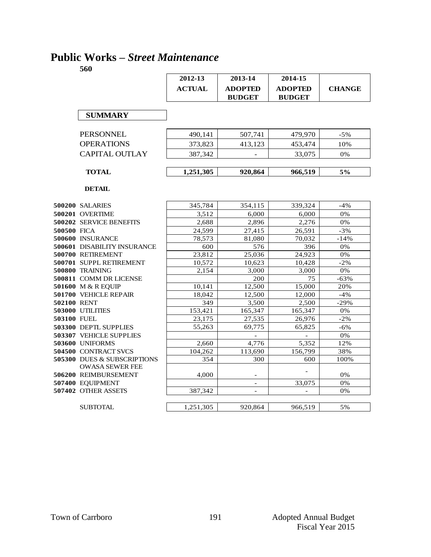## **Public Works –** *Street Maintenance*

|             |                                                                  | 2012-13       | 2013-14                         | 2014-15                         |               |
|-------------|------------------------------------------------------------------|---------------|---------------------------------|---------------------------------|---------------|
|             |                                                                  | <b>ACTUAL</b> | <b>ADOPTED</b><br><b>BUDGET</b> | <b>ADOPTED</b><br><b>BUDGET</b> | <b>CHANGE</b> |
|             | <b>SUMMARY</b>                                                   |               |                                 |                                 |               |
|             |                                                                  |               |                                 |                                 |               |
|             | <b>PERSONNEL</b>                                                 | 490,141       | 507,741                         | 479,970                         | $-5%$         |
|             | <b>OPERATIONS</b>                                                | 373,823       | 413,123                         | 453,474                         | 10%           |
|             | <b>CAPITAL OUTLAY</b>                                            | 387,342       |                                 | 33,075                          | 0%            |
|             | <b>TOTAL</b>                                                     | 1,251,305     | 920.864                         | 966,519                         | 5%            |
|             | <b>DETAIL</b>                                                    |               |                                 |                                 |               |
|             | 500200 SALARIES                                                  | 345,784       | 354,115                         | 339,324                         | $-4%$         |
|             | 500201 OVERTIME                                                  | 3,512         | 6,000                           | 6,000                           | 0%            |
|             | 500202 SERVICE BENEFITS                                          | 2.688         | 2.896                           | 2.276                           | 0%            |
| 500500 FICA |                                                                  | 24,599        | 27,415                          | 26,591                          | $-3%$         |
|             | 500600 INSURANCE                                                 | 78,573        | 81,080                          | 70,032                          | $-14%$        |
|             | <b>500601 DISABILITY INSURANCE</b>                               | 600           | 576                             | 396                             | 0%            |
|             | 500700 RETIREMENT                                                | 23,812        | 25,036                          | 24,923                          | 0%            |
|             | 500701 SUPPL RETIREMENT                                          | 10,572        | 10,623                          | 10,428                          | $-2%$         |
|             | 500800 TRAINING                                                  | 2.154         | 3,000                           | 3,000                           | 0%            |
|             | 500811 COMM DR LICENSE                                           |               | 200                             | 75                              | $-63%$        |
|             | 501600 M & R EQUIP                                               | 10,141        | 12,500                          | 15,000                          | 20%           |
|             | 501700 VEHICLE REPAIR                                            | 18,042        | 12,500                          | 12,000                          | $-4%$         |
| 502100 RENT |                                                                  | 349           | 3,500                           | 2,500                           | $-29%$        |
|             | <b>503000 UTILITIES</b>                                          | 153,421       | 165,347                         | 165,347                         | 0%            |
| 503100 FUEL |                                                                  | 23.175        | 27,535                          | 26,976                          | $-2\%$        |
|             | 503300 DEPTL SUPPLIES                                            | 55,263        | 69,775                          | 65,825                          | $-6%$         |
|             | 503307 VEHICLE SUPPLIES                                          |               |                                 |                                 | 0%            |
|             | 503600 UNIFORMS                                                  | 2,660         | 4,776                           | 5,352                           | 12%           |
|             | 504500 CONTRACT SVCS                                             | 104,262       | 113,690                         | 156,799                         | 38%           |
|             | <b>505300 DUES &amp; SUBSCRIPTIONS</b><br><b>OWASA SEWER FEE</b> | 354           | 300                             | 600                             | 100%          |
|             | 506200 REIMBURSEMENT                                             | 4.000         | $\overline{\phantom{a}}$        |                                 | 0%            |
|             | 507400 EQUIPMENT                                                 |               | $\overline{\phantom{a}}$        | 33,075                          | 0%            |
|             | 507402 OTHER ASSETS                                              | 387,342       |                                 |                                 | 0%            |
|             |                                                                  |               |                                 |                                 |               |
|             | <b>SUBTOTAL</b>                                                  | 1,251,305     | 920,864                         | 966,519                         | 5%            |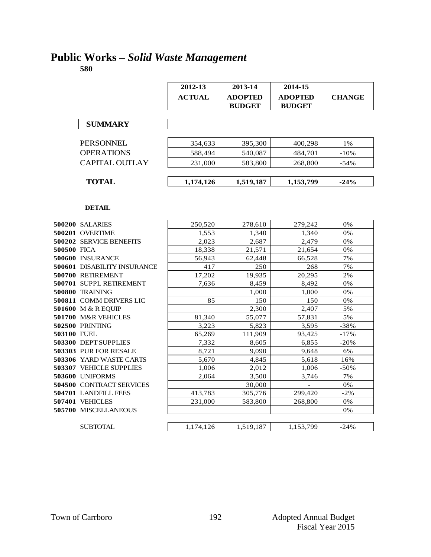# **Public Works –** *Solid Waste Management*

|             |                                | 2012-13       | 2013-14        | 2014-15        |               |
|-------------|--------------------------------|---------------|----------------|----------------|---------------|
|             |                                | <b>ACTUAL</b> | <b>ADOPTED</b> | <b>ADOPTED</b> | <b>CHANGE</b> |
|             |                                |               | <b>BUDGET</b>  | <b>BUDGET</b>  |               |
|             |                                |               |                |                |               |
|             | <b>SUMMARY</b>                 |               |                |                |               |
|             |                                |               |                |                |               |
|             | <b>PERSONNEL</b>               | 354,633       | 395,300        | 400,298        | 1%            |
|             | <b>OPERATIONS</b>              | 588,494       | 540,087        | 484,701        | $-10%$        |
|             | <b>CAPITAL OUTLAY</b>          | 231,000       | 583,800        | 268,800        | $-54%$        |
|             |                                |               |                |                |               |
|             | <b>TOTAL</b>                   | 1,174,126     | 1,519,187      | 1,153,799      | $-24%$        |
|             |                                |               |                |                |               |
|             |                                |               |                |                |               |
|             | <b>DETAIL</b>                  |               |                |                |               |
|             |                                |               |                |                |               |
|             | <b>500200 SALARIES</b>         | 250,520       | 278,610        | 279,242        | 0%            |
|             | 500201 OVERTIME                | 1,553         | 1.340          | 1.340          | 0%            |
|             | <b>500202 SERVICE BENEFITS</b> | 2.023         | 2.687          | 2.479          | 0%            |
| 500500 FICA |                                | 18,338        | 21,571         | 21,654         | 0%            |
|             | 500600 INSURANCE               | 56,943        | 62,448         | 66,528         | 7%            |
|             | 500601 DISABILITY INSURANCE    | 417           | 250            | 268            | 7%            |
|             | 500700 RETIREMENT              | 17,202        | 19,935         | 20,295         | 2%            |
|             | 500701 SUPPL RETIREMENT        | 7.636         | 8.459          | 8.492          | 0%            |
|             | 500800 TRAINING                |               | 1.000          | 1.000          | 0%            |
|             | 500811 COMM DRIVERS LIC        | 85            | 150            | 150            | 0%            |
|             | 501600 M & R EQUIP             |               | 2,300          | 2.407          | 5%            |
|             | 501700 M&R VEHICLES            | 81,340        | 55,077         | 57,831         | 5%            |
|             | <b>502500 PRINTING</b>         | 3.223         | 5,823          | 3.595          | $-38%$        |
| 503100 FUEL |                                | 65,269        | 111,909        | 93,425         | $-17%$        |
|             | 503300 DEPT SUPPLIES           | 7,332         | 8,605          | 6,855          | $-20%$        |
|             | 503303 PUR FOR RESALE          | 8,721         | 9,090          | 9,648          | 6%            |
|             | 503306 YARD WASTE CARTS        | 5,670         | 4,845          | 5,618          | 16%           |
|             | 503307 VEHICLE SUPPLIES        | 1,006         | 2,012          | 1,006          | $-50%$        |
|             | 503600 UNIFORMS                | 2,064         | 3,500          | 3,746          | 7%            |
|             | 504500 CONTRACT SERVICES       |               | 30,000         |                | 0%            |
|             | 504701 LANDFILL FEES           | 413,783       | 305,776        | 299,420        | $-2\%$        |
|             | 507401 VEHICLES                | 231,000       | 583,800        | 268,800        | 0%            |
|             | 505700 MISCELLANEOUS           |               |                |                | 0%            |
|             |                                |               |                |                |               |
|             | <b>SUBTOTAL</b>                | 1.174.126     | 1.519.187      | 1.153.799      | $-24%$        |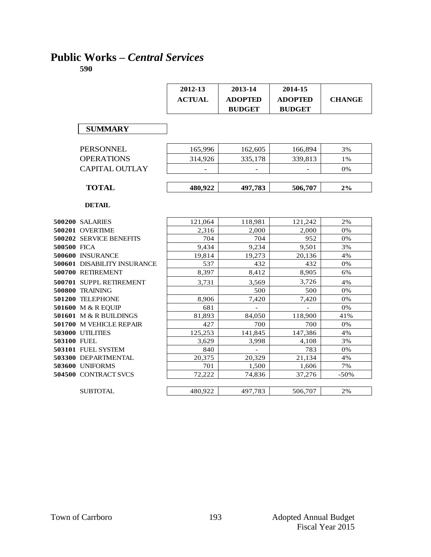## **Public Works –** *Central Services*

|             |                                    | 2012-13<br><b>ACTUAL</b> | 2013-14<br><b>ADOPTED</b><br><b>BUDGET</b> | 2014-15<br><b>ADOPTED</b><br><b>BUDGET</b> | <b>CHANGE</b> |
|-------------|------------------------------------|--------------------------|--------------------------------------------|--------------------------------------------|---------------|
|             |                                    |                          |                                            |                                            |               |
|             | <b>SUMMARY</b>                     |                          |                                            |                                            |               |
|             | PERSONNEL                          | 165,996                  | 162,605                                    | 166,894                                    | 3%            |
|             | <b>OPERATIONS</b>                  | 314.926                  | 335,178                                    | 339.813                                    | 1%            |
|             | <b>CAPITAL OUTLAY</b>              |                          |                                            |                                            | 0%            |
|             | <b>TOTAL</b>                       | 480,922                  | 497,783                                    | 506,707                                    | $2\%$         |
|             | <b>DETAIL</b>                      |                          |                                            |                                            |               |
|             |                                    |                          |                                            |                                            |               |
|             | 500200 SALARIES                    | 121,064                  | 118,981                                    | 121,242                                    | 2%            |
|             | 500201 OVERTIME                    | 2,316                    | 2,000                                      | 2,000                                      | 0%            |
| 500500 FICA | 500202 SERVICE BENEFITS            | 704<br>9.434             | 704<br>9.234                               | 952<br>9,501                               | 0%<br>3%      |
|             | 500600 INSURANCE                   | 19.814                   | 19,273                                     | 20,136                                     | 4%            |
|             | <b>500601 DISABILITY INSURANCE</b> | 537                      | 432                                        | 432                                        | 0%            |
|             | 500700 RETIREMENT                  | 8,397                    | 8,412                                      | 8,905                                      | 6%            |
|             | 500701 SUPPL RETIREMENT            | 3,731                    | 3,569                                      | 3,726                                      | 4%            |
|             | <b>500800 TRAINING</b>             |                          | 500                                        | 500                                        | 0%            |
|             | 501200 TELEPHONE                   | 8,906                    | 7,420                                      | 7,420                                      | 0%            |
|             | 501600 M & R EQUIP                 | 681                      |                                            |                                            | 0%            |
|             | 501601 M & R BUILDINGS             | 81,893                   | 84,050                                     | 118,900                                    | 41%           |
|             | 501700 M VEHICLE REPAIR            | 427                      | 700                                        | 700                                        | 0%            |
|             | 503000 UTILITIES                   | 125,253                  | 141.845                                    | 147,386                                    | 4%            |
| 503100 FUEL |                                    | 3,629                    | 3.998                                      | 4,108                                      | 3%            |
|             | 503101 FUEL SYSTEM                 | 840                      | $\overline{\phantom{a}}$                   | 783                                        | 0%            |
|             | 503300 DEPARTMENTAL                | 20,375                   | 20,329                                     | 21,134                                     | 4%            |
|             | 503600 UNIFORMS                    | 701                      | 1,500                                      | 1,606                                      | 7%            |
|             | 504500 CONTRACT SVCS               | 72.222                   | 74,836                                     | 37,276                                     | $-50%$        |
|             | <b>SUBTOTAL</b>                    | 480,922                  | 497,783                                    | 506,707                                    | 2%            |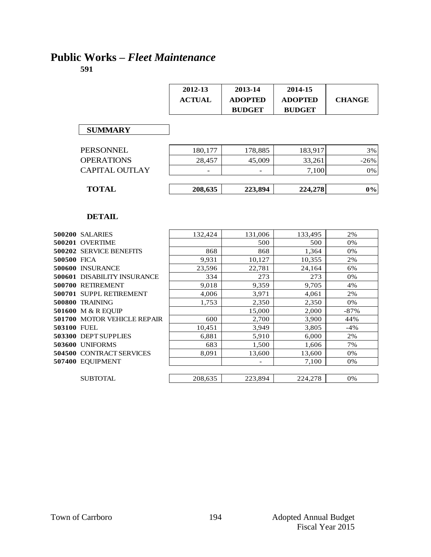## **Public Works –** *Fleet Maintenance*

|             |                             | 2012-13       | 2013-14                  | 2014-15        |               |
|-------------|-----------------------------|---------------|--------------------------|----------------|---------------|
|             |                             | <b>ACTUAL</b> | <b>ADOPTED</b>           | <b>ADOPTED</b> | <b>CHANGE</b> |
|             |                             |               | <b>BUDGET</b>            | <b>BUDGET</b>  |               |
|             | <b>SUMMARY</b>              |               |                          |                |               |
|             |                             |               |                          |                |               |
|             | <b>PERSONNEL</b>            | 180,177       | 178,885                  | 183,917        | 3%            |
|             | <b>OPERATIONS</b>           | 28,457        | 45,009                   | 33,261         | $-26%$        |
|             | <b>CAPITAL OUTLAY</b>       |               |                          | 7,100          | 0%            |
|             | <b>TOTAL</b>                | 208,635       | 223,894                  | 224,278        | $0\%$         |
|             |                             |               |                          |                |               |
|             | <b>DETAIL</b>               |               |                          |                |               |
|             |                             |               |                          |                |               |
|             | <b>500200 SALARIES</b>      | 132,424       | 131,006                  | 133,495        | 2%            |
|             | 500201 OVERTIME             |               | 500                      | 500            | 0%            |
|             | 500202 SERVICE BENEFITS     | 868           | 868                      | 1,364          | 0%            |
| 500500 FICA |                             | 9,931         | 10,127                   | 10,355         | 2%            |
|             | 500600 INSURANCE            | 23,596        | 22,781                   | 24,164         | 6%            |
|             | 500601 DISABILITY INSURANCE | 334           | 273                      | 273            | 0%            |
|             | 500700 RETIREMENT           | 9,018         | 9,359                    | 9.705          | 4%            |
|             | 500701 SUPPL RETIREMENT     | 4,006         | 3,971                    | 4,061          | 2%            |
|             | 500800 TRAINING             | 1,753         | 2,350                    | 2,350          | 0%            |
|             | 501600 M & R EQUIP          |               | 15,000                   | 2,000          | $-87%$        |
|             | 501700 MOTOR VEHICLE REPAIR | 600           | 2,700                    | 3,900          | 44%           |
|             | <b>503100 FUEL</b>          | 10,451        | 3,949                    | 3,805          | $-4%$         |
|             |                             | 6,881         | 5,910                    | 6,000          | 2%            |
|             | 503300 DEPT SUPPLIES        |               |                          |                |               |
|             | 503600 UNIFORMS             | 683           | 1,500                    | 1,606          | 7%            |
|             | 504500 CONTRACT SERVICES    | 8.091         | 13,600                   | 13,600         | 0%            |
|             | 507400 EQUIPMENT            |               | $\overline{\phantom{a}}$ | 7,100          | 0%            |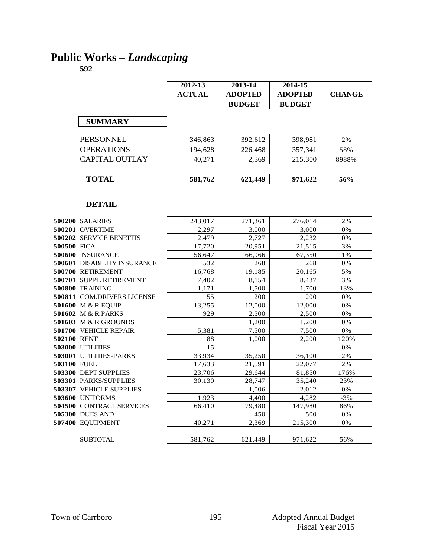## **Public Works –** *Landscaping*

|                               | 2012-13       | 2013-14        | 2014-15        |               |
|-------------------------------|---------------|----------------|----------------|---------------|
|                               | <b>ACTUAL</b> | <b>ADOPTED</b> | <b>ADOPTED</b> | <b>CHANGE</b> |
|                               |               | <b>BUDGET</b>  | <b>BUDGET</b>  |               |
|                               |               |                |                |               |
| <b>SUMMARY</b>                |               |                |                |               |
| <b>PERSONNEL</b>              | 346,863       | 392,612        | 398,981        | 2%            |
| <b>OPERATIONS</b>             | 194,628       | 226,468        | 357,341        | 58%           |
| <b>CAPITAL OUTLAY</b>         | 40,271        | 2,369          | 215,300        | 8988%         |
|                               |               |                |                |               |
| <b>TOTAL</b>                  | 581,762       | 621,449        | 971,622        | 56%           |
|                               |               |                |                |               |
| <b>DETAIL</b>                 |               |                |                |               |
| 500200 SALARIES               | 243,017       | 271,361        | 276,014        | 2%            |
| 500201 OVERTIME               | 2,297         | 3,000          | 3,000          | 0%            |
| 500202 SERVICE BENEFITS       | 2,479         | 2,727          | 2,232          | 0%            |
| 500500 FICA                   | 17,720        | 20.951         | 21,515         | 3%            |
| <b>500600 INSURANCE</b>       | 56,647        | 66,966         | 67,350         | 1%            |
| 500601 DISABILITY INSURANCE   | 532           | 268            | 268            | 0%            |
| 500700 RETIREMENT             | 16,768        | 19,185         | 20,165         | 5%            |
| 500701 SUPPL RETIREMENT       | 7,402         | 8,154          | 8,437          | 3%            |
| 500800 TRAINING               | 1,171         | 1,500          | 1,700          | 13%           |
| 500811 COM.DRIVERS LICENSE    | 55            | 200            | 200            | 0%            |
| 501600 M & R EQUIP            | 13,255        | 12,000         | 12,000         | 0%            |
| 501602 M & R PARKS            | 929           | 2,500          | 2,500          | 0%            |
| 501603 M & R GROUNDS          |               | 1,200          | 1,200          | 0%            |
| 501700 VEHICLE REPAIR         | 5,381         | 7,500          | 7,500          | 0%            |
| 502100 RENT                   | 88            | 1.000          | 2.200          | 120%          |
| <b>503000 UTILITIES</b>       | 15            |                |                | 0%            |
| <b>503001 UTILITIES-PARKS</b> | 33,934        | 35.250         | 36,100         | 2%            |
| 503100 FUEL                   | 17,633        | 21,591         | 22,077         | 2%            |
| 503300 DEPT SUPPLIES          | 23,706        | 29,644         | 81,850         | 176%          |
| <b>503301 PARKS/SUPPLIES</b>  | 30,130        | 28,747         | 35,240         | 23%           |
| 503307 VEHICLE SUPPLIES       |               | 1,006          | 2,012          | 0%            |
| 503600 UNIFORMS               | 1,923         | 4,400          | 4,282          | $-3%$         |
| 504500 CONTRACT SERVICES      | 66,410        | 79,480         | 147,980        | 86%           |
| 505300 DUES AND               |               | 450            | 500            | 0%            |
| 507400 EQUIPMENT              | 40,271        | 2,369          | 215,300        | 0%            |
| <b>SUBTOTAL</b>               | 581,762       | 621.449        | 971,622        | 56%           |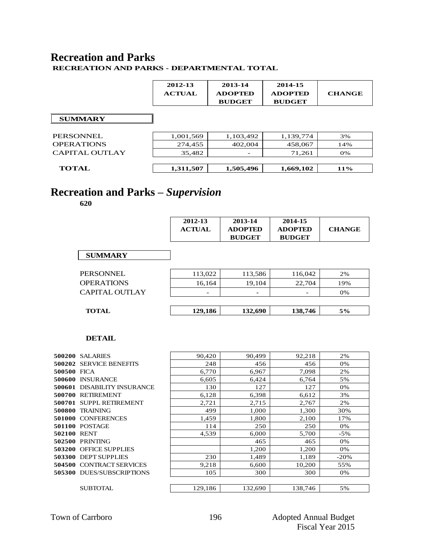#### **Recreation and Parks RECREATION AND PARKS - DEPARTMENTAL TOTAL**

 $\mathbf{r}$ 

|                   | 2012-13<br><b>ACTUAL</b> | 2013-14<br><b>ADOPTED</b><br><b>BUDGET</b> | 2014-15<br><b>ADOPTED</b><br><b>BUDGET</b> | <b>CHANGE</b> |
|-------------------|--------------------------|--------------------------------------------|--------------------------------------------|---------------|
| <b>SUMMARY</b>    |                          |                                            |                                            |               |
| PERSONNEL         | 1,001,569                | 1,103,492                                  | 1,139,774                                  | 3%            |
| <b>OPERATIONS</b> | 274,455                  | 402,004                                    | 458,067                                    | 14%           |
| CAPITAL OUTLAY    | 35,482                   |                                            | 71,261                                     | 0%            |
|                   |                          |                                            |                                            |               |
| <b>TOTAL</b>      | 1,311,507                | 1,505,496                                  | 1,669,102                                  | 11%           |

# **Recreation and Parks –** *Supervision*

**620**

|                   | 2012-13<br><b>ACTUAL</b> | 2013-14<br><b>ADOPTED</b><br><b>BUDGET</b> | 2014-15<br><b>ADOPTED</b><br><b>BUDGET</b> | <b>CHANGE</b> |
|-------------------|--------------------------|--------------------------------------------|--------------------------------------------|---------------|
| <b>SUMMARY</b>    |                          |                                            |                                            |               |
| PERSONNEL         | 113,022                  | 113,586                                    | 116,042                                    | 2%            |
| <b>OPERATIONS</b> | 16,164                   | 19,104                                     | 22,704                                     | 19%           |
| CAPITAL OUTLAY    | $\overline{\phantom{a}}$ | $\overline{\phantom{0}}$                   |                                            | 0%            |
| <b>TOTAL</b>      | 129,186                  | 132,690                                    | 138,746                                    | 5%            |

|             | DETAIL                             |         |         |         |        |
|-------------|------------------------------------|---------|---------|---------|--------|
|             | <b>500200 SALARIES</b>             | 90,420  | 90,499  | 92,218  | 2%     |
|             | <b>500202 SERVICE BENEFITS</b>     | 248     | 456     | 456     | 0%     |
| 500500 FICA |                                    | 6,770   | 6,967   | 7,098   | 2%     |
|             | 500600 INSURANCE                   | 6,605   | 6,424   | 6,764   | 5%     |
|             | <b>500601 DISABILITY INSURANCE</b> | 130     | 127     | 127     | 0%     |
|             | 500700 RETIREMENT                  | 6,128   | 6,398   | 6,612   | 3%     |
| 500701      | <b>SUPPL RETIREMENT</b>            | 2,721   | 2,715   | 2,767   | 2%     |
| 500800      | <b>TRAINING</b>                    | 499     | 1,000   | 1,300   | 30%    |
| 501000      | <b>CONFERENCES</b>                 | 1,459   | 1,800   | 2,100   | 17%    |
|             | <b>501100 POSTAGE</b>              | 114     | 250     | 250     | 0%     |
| 502100 RENT |                                    | 4,539   | 6,000   | 5,700   | $-5%$  |
| 502500      | PRINTING                           |         | 465     | 465     | 0%     |
| 503200      | <b>OFFICE SUPPLIES</b>             |         | 1,200   | 1,200   | 0%     |
|             | 503300 DEPT SUPPLIES               | 230     | 1,489   | 1,189   | $-20%$ |
| 504500      | <b>CONTRACT SERVICES</b>           | 9,218   | 6,600   | 10,200  | 55%    |
|             | <b>505300 DUES/SUBSCRIPTIONS</b>   | 105     | 300     | 300     | 0%     |
|             |                                    |         |         |         |        |
|             | SUBTOTAL                           | 129,186 | 132,690 | 138,746 | 5%     |
|             |                                    |         |         |         |        |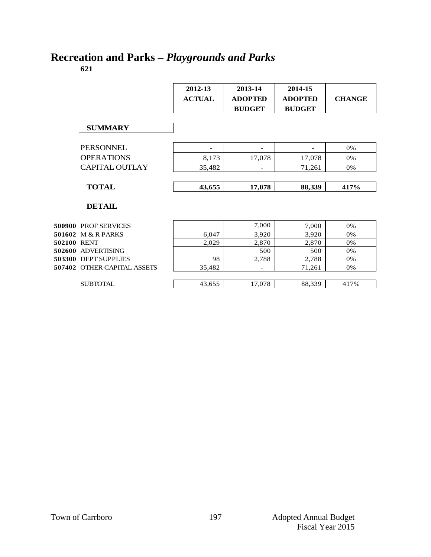# **Recreation and Parks –** *Playgrounds and Parks*

**621**

|                              | 2012-13<br><b>ACTUAL</b> | 2013-14<br><b>ADOPTED</b><br><b>BUDGET</b> | 2014-15<br><b>ADOPTED</b><br><b>BUDGET</b> | <b>CHANGE</b> |
|------------------------------|--------------------------|--------------------------------------------|--------------------------------------------|---------------|
| <b>SUMMARY</b>               |                          |                                            |                                            |               |
| <b>PERSONNEL</b>             |                          |                                            |                                            | 0%            |
| <b>OPERATIONS</b>            | 8,173                    | 17,078                                     | 17,078                                     | 0%            |
| <b>CAPITAL OUTLAY</b>        | 35,482                   |                                            | 71,261                                     | 0%            |
|                              |                          |                                            |                                            |               |
| <b>TOTAL</b>                 | 43,655                   | 17,078                                     | 88,339                                     | 417%          |
| <b>DETAIL</b>                |                          |                                            |                                            |               |
| 500900 PROF SERVICES         |                          | 7,000                                      | 7,000                                      | 0%            |
| 501602 M & R PARKS           | 6,047                    | 3,920                                      | 3,920                                      | 0%            |
| 502100 RENT                  | 2,029                    | 2,870                                      | 2,870                                      | 0%            |
| 502600<br><b>ADVERTISING</b> |                          | 500                                        | 500                                        | 0%            |
| 503300 DEPT SUPPLIES         | 98                       | 2,788                                      | 2,788                                      | 0%            |
| 507402 OTHER CAPITAL ASSETS  | 35,482                   |                                            | 71,261                                     | 0%            |

 ${\small\bf SUBTOTAL}$ 

| __     |                          | .           |       |
|--------|--------------------------|-------------|-------|
| 35,482 | $\overline{\phantom{0}}$ | 1,261<br>71 | $9\%$ |
|        |                          |             |       |
| 43,655 | 7,078                    | 88,339      | 7%    |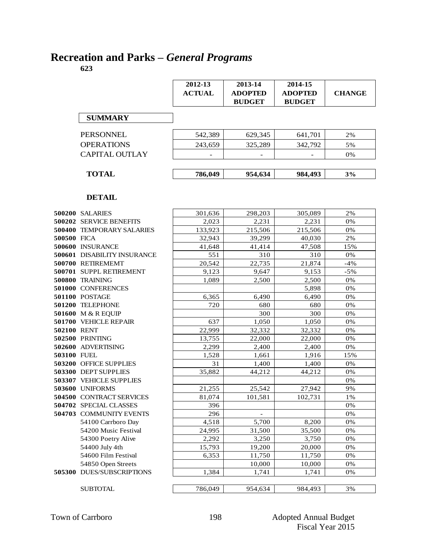# **Recreation and Parks –** *General Programs*

**623**

|                       | 2012-13<br><b>ACTUAL</b> | 2013-14<br><b>ADOPTED</b><br><b>BUDGET</b> | 2014-15<br><b>ADOPTED</b><br><b>BUDGET</b> | <b>CHANGE</b> |
|-----------------------|--------------------------|--------------------------------------------|--------------------------------------------|---------------|
| <b>SUMMARY</b>        |                          |                                            |                                            |               |
| PERSONNEL             | 542,389                  | 629,345                                    | 641,701                                    | 2%            |
| <b>OPERATIONS</b>     | 243,659                  | 325,289                                    | 342,792                                    | 5%            |
| <b>CAPITAL OUTLAY</b> |                          | $\overline{\phantom{a}}$                   |                                            | 0%            |
|                       |                          |                                            |                                            |               |
| <b>TOTAL</b>          | 786,049                  | 954,634                                    | 984,493                                    | 3%            |

|             | <b>DETAIL</b>                      |         |         |         |       |
|-------------|------------------------------------|---------|---------|---------|-------|
|             | 500200 SALARIES                    | 301,636 | 298,203 | 305,089 | 2%    |
|             | <b>500202 SERVICE BENEFITS</b>     | 2.023   | 2,231   | 2,231   | 0%    |
|             | <b>500400 TEMPORARY SALARIES</b>   | 133,923 | 215,506 | 215,506 | 0%    |
| 500500 FICA |                                    | 32.943  | 39.299  | 40.030  | 2%    |
|             | 500600 INSURANCE                   | 41.648  | 41,414  | 47,508  | 15%   |
|             | <b>500601 DISABILITY INSURANCE</b> | 551     | 310     | 310     | 0%    |
|             | 500700 RETIREMEMT                  | 20,542  | 22,735  | 21,874  | $-4%$ |
|             | 500701 SUPPL RETIREMENT            | 9,123   | 9,647   | 9,153   | $-5%$ |
|             | 500800 TRAINING                    | 1,089   | 2,500   | 2,500   | 0%    |
|             | 501000 CONFERENCES                 |         |         | 5,898   | 0%    |
|             | 501100 POSTAGE                     | 6,365   | 6,490   | 6,490   | 0%    |
|             | 501200 TELEPHONE                   | 720     | 680     | 680     | 0%    |
|             | 501600 M & R EQUIP                 |         | 300     | 300     | 0%    |
|             | <b>501700 VEHICLE REPAIR</b>       | 637     | 1,050   | 1,050   | 0%    |
| 502100 RENT |                                    | 22,999  | 32,332  | 32,332  | 0%    |
|             | 502500 PRINTING                    | 13,755  | 22,000  | 22,000  | 0%    |
|             | 502600 ADVERTISING                 | 2,299   | 2,400   | 2,400   | 0%    |
| 503100 FUEL |                                    | 1,528   | 1,661   | 1,916   | 15%   |
|             | <b>503200 OFFICE SUPPLIES</b>      | 31      | 1,400   | 1,400   | 0%    |
|             | 503300 DEPT SUPPLIES               | 35,882  | 44,212  | 44,212  | 0%    |
|             | <b>503307 VEHICLE SUPPLIES</b>     |         |         |         | 0%    |
|             | 503600 UNIFORMS                    | 21,255  | 25,542  | 27,942  | 9%    |
|             | <b>504500 CONTRACT SERVICES</b>    | 81.074  | 101,581 | 102,731 | 1%    |
|             | 504702 SPECIAL CLASSES             | 396     |         |         | 0%    |
|             | 504703 COMMUNITY EVENTS            | 296     |         |         | 0%    |
|             | 54100 Carrboro Day                 | 4,518   | 5,700   | 8,200   | 0%    |
|             | 54200 Music Festival               | 24,995  | 31,500  | 35,500  | 0%    |
|             | 54300 Poetry Alive                 | 2,292   | 3,250   | 3,750   | 0%    |
|             | 54400 July 4th                     | 15.793  | 19,200  | 20,000  | 0%    |
|             | 54600 Film Festival                | 6,353   | 11,750  | 11,750  | 0%    |
|             | 54850 Open Streets                 |         | 10,000  | 10,000  | 0%    |
|             | <b>505300 DUES/SUBSCRIPTIONS</b>   | 1,384   | 1,741   | 1,741   | 0%    |
|             |                                    |         |         |         |       |
|             | SUBTOTAL                           | 786,049 | 954,634 | 984,493 | 3%    |
|             |                                    |         |         |         |       |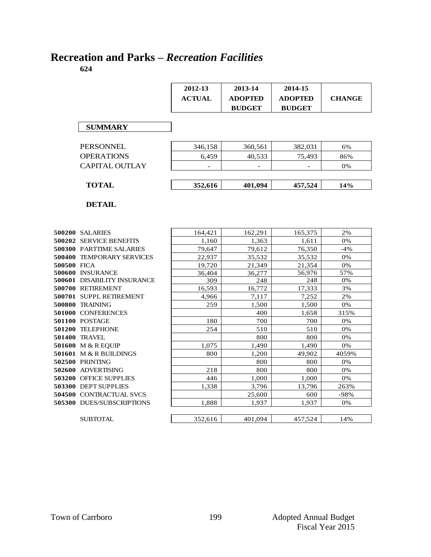# **Recreation and Parks –** *Recreation Facilities*

|             |                                    | 2012-13       | 2013-14        | 2014-15        |               |
|-------------|------------------------------------|---------------|----------------|----------------|---------------|
|             |                                    | <b>ACTUAL</b> | <b>ADOPTED</b> | <b>ADOPTED</b> | <b>CHANGE</b> |
|             |                                    |               | <b>BUDGET</b>  | <b>BUDGET</b>  |               |
|             |                                    |               |                |                |               |
|             | <b>SUMMARY</b>                     |               |                |                |               |
|             |                                    |               |                |                |               |
|             | <b>PERSONNEL</b>                   | 346,158       | 360,561        | 382,031        | 6%            |
|             | <b>OPERATIONS</b>                  | 6,459         | 40,533         | 75,493         | 86%           |
|             | CAPITAL OUTLAY                     |               |                |                | 0%            |
|             | <b>TOTAL</b>                       | 352,616       | 401,094        | 457,524        | 14%           |
|             |                                    |               |                |                |               |
|             | <b>DETAIL</b>                      |               |                |                |               |
|             |                                    |               |                |                |               |
|             |                                    |               |                |                |               |
|             | <b>500200 SALARIES</b>             | 164,421       | 162,291        | 165,375        | 2%            |
|             | <b>500202 SERVICE BENEFITS</b>     | 1,160         | 1,363          | 1,611          | 0%            |
|             | <b>500300 PARTTIME SALARIES</b>    | 79,647        | 79,612         | 76,350         | $-4%$         |
|             | 500400 TEMPORARY SERVICES          | 22,937        | 35,532         | 35,532         | 0%            |
| 500500 FICA |                                    | 19,720        | 21,349         | 21,354         | 0%            |
|             | 500600 INSURANCE                   | 36,404        | 36,277         | 56,976         | 57%           |
|             | <b>500601 DISABILITY INSURANCE</b> | 309           | 248            | 248            | 0%            |
|             | 500700 RETIREMENT                  | 16,593        | 16,772         | 17,333         | 3%            |
|             | 500701 SUPPL RETIREMENT            | 4.966         | 7.117          | 7.252          | 2%            |
|             | 500800 TRAINING                    | 259           | 1,500          | 1,500          | 0%            |
|             | 501000 CONFERENCES                 |               | 400            | 1,658          | 315%          |
|             | 501100 POSTAGE                     | 180           | 700            | 700            | 0%            |
|             | 501200 TELEPHONE                   | 254           | 510            | 510            | 0%            |
|             | <b>501400 TRAVEL</b>               |               | 800            | 800            | 0%            |
|             | 501600 M & R EOUIP                 | 1,075         | 1,490          | 1,490          | 0%            |
|             | 501601 M & R BUILDINGS             | 800           | 1,200          | 49.902         | 4059%         |
|             | 502500 PRINTING                    |               | 800            | 800            | 0%            |
|             | 502600 ADVERTISING                 | 218           | 800            | 800            | 0%            |
|             | <b>503200 OFFICE SUPPLIES</b>      | 446           | 1,000          | 1,000          | 0%            |
|             | 503300 DEPT SUPPLIES               | 1,338         | 3,796          | 13,796         | 263%          |
|             | 504500 CONTRACTUAL SVCS            |               | 25,600         | 600            | $-98%$        |
|             | <b>505300 DUES/SUBSCRIPTIONS</b>   | 1,888         | 1,937          | 1.937          | 0%            |
|             | <b>SUBTOTAL</b>                    | 352,616       | 401,094        | 457,524        | 14%           |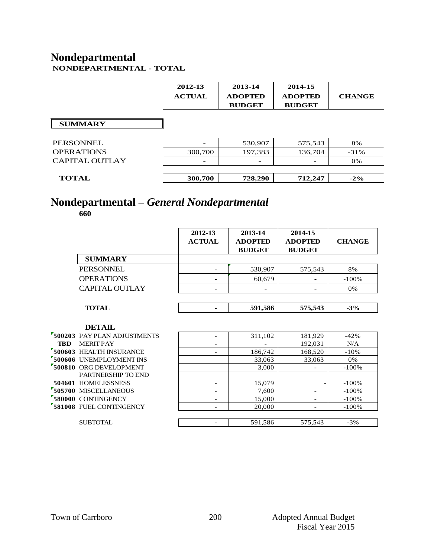#### **Nondepartmental NONDEPARTMENTAL - TOTAL**

|                       | 2012-13<br><b>ACTUAL</b> | 2013-14<br><b>ADOPTED</b><br><b>BUDGET</b> | 2014-15<br><b>ADOPTED</b><br><b>BUDGET</b> | <b>CHANGE</b> |
|-----------------------|--------------------------|--------------------------------------------|--------------------------------------------|---------------|
| <b>SUMMARY</b>        |                          |                                            |                                            |               |
| <b>PERSONNEL</b>      |                          | 530,907                                    | 575,543                                    | 8%            |
| <b>OPERATIONS</b>     | 300,700                  | 197,383                                    | 136,704                                    | $-31%$        |
| <b>CAPITAL OUTLAY</b> | $\overline{\phantom{a}}$ |                                            |                                            | 0%            |
|                       |                          |                                            |                                            |               |
| <b>TOTAL</b>          | 300,700                  | 728,290                                    | 712,247                                    | $-2\%$        |

# **Nondepartmental –** *General Nondepartmental*

|            |                             | 2012-13<br><b>ACTUAL</b> | 2013-14<br><b>ADOPTED</b><br><b>BUDGET</b> | 2014-15<br><b>ADOPTED</b><br><b>BUDGET</b> | <b>CHANGE</b> |
|------------|-----------------------------|--------------------------|--------------------------------------------|--------------------------------------------|---------------|
|            | <b>SUMMARY</b>              |                          |                                            |                                            |               |
|            | <b>PERSONNEL</b>            |                          | 530,907                                    | 575,543                                    | 8%            |
|            | <b>OPERATIONS</b>           |                          | 60,679                                     |                                            | $-100%$       |
|            | CAPITAL OUTLAY              |                          |                                            |                                            | 0%            |
|            |                             |                          |                                            |                                            |               |
|            | <b>TOTAL</b>                |                          | 591,586                                    | 575,543                                    | $-3\%$        |
|            | <b>DETAIL</b>               |                          |                                            |                                            |               |
|            | 500203 PAY PLAN ADJUSTMENTS | $\overline{\phantom{0}}$ | 311,102                                    | 181,929                                    | $-42%$        |
| <b>TBD</b> | <b>MERIT PAY</b>            | $\qquad \qquad -$        |                                            | 192,031                                    | N/A           |
|            | 500603 HEALTH INSURANCE     | $\overline{\phantom{0}}$ | 186,742                                    | 168,520                                    | $-10%$        |
|            | 500606 UNEMPLOYMENT INS     |                          | 33,063                                     | 33,063                                     | 0%            |
|            | 500810 ORG DEVELOPMENT      |                          | 3,000                                      |                                            | $-100%$       |
|            | PARTNERSHIP TO END          |                          |                                            |                                            |               |
|            | 504601 HOMELESSNESS         |                          | 15,079                                     |                                            | $-100%$       |
|            | 505700 MISCELLANEOUS        |                          | 7,600                                      |                                            | $-100%$       |
|            | 580000 CONTINGENCY          | $\overline{a}$           | 15,000                                     | $\overline{a}$                             | $-100%$       |
|            | 581008 FUEL CONTINGENCY     | $\overline{\phantom{0}}$ | 20,000                                     | $\overline{\phantom{a}}$                   | $-100%$       |
|            | SUBTOTAL                    |                          | 591,586                                    | 575,543                                    | $-3%$         |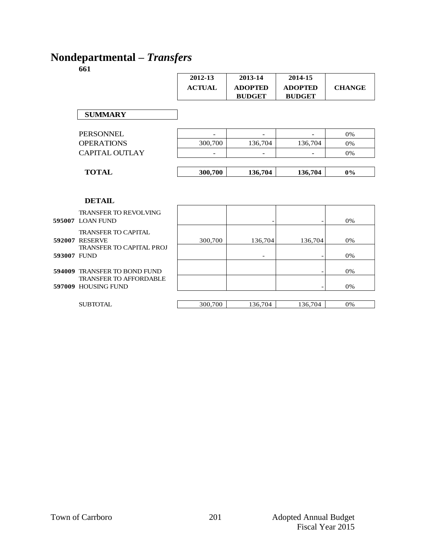# **Nondepartmental –** *Transfers*

|                       | 2012-13<br><b>ACTUAL</b> | 2013-14<br><b>ADOPTED</b><br><b>BUDGET</b> | 2014-15<br><b>ADOPTED</b><br><b>BUDGET</b> | <b>CHANGE</b> |
|-----------------------|--------------------------|--------------------------------------------|--------------------------------------------|---------------|
| <b>SUMMARY</b>        |                          |                                            |                                            |               |
| <b>PERSONNEL</b>      |                          |                                            |                                            | 0%            |
| <b>OPERATIONS</b>     | 300,700                  | 136,704                                    | 136,704                                    | 0%            |
| <b>CAPITAL OUTLAY</b> | $\overline{\phantom{a}}$ | -                                          | $\overline{\phantom{a}}$                   | 0%            |
| <b>TOTAL</b>          | 300,700                  | 136,704                                    | 136,704                                    | $0\%$         |
|                       |                          |                                            |                                            |               |
| <b>DETAIL</b>         |                          |                                            |                                            |               |

|             | <b>DETAIL</b>                                                                          |         |                          |         |    |
|-------------|----------------------------------------------------------------------------------------|---------|--------------------------|---------|----|
|             | <b>TRANSFER TO REVOLVING</b><br><b>595007 LOAN FUND</b>                                |         |                          |         | 0% |
|             | <b>TRANSFER TO CAPITAL</b><br><b>592007 RESERVE</b><br><b>TRANSFER TO CAPITAL PROJ</b> | 300,700 | 136,704                  | 136,704 | 0% |
| 593007 FUND |                                                                                        |         | $\overline{\phantom{0}}$ |         | 0% |
|             | <b>594009 TRANSFER TO BOND FUND</b><br><b>TRANSFER TO AFFORDABLE</b>                   |         |                          |         | 0% |
|             | <b>597009 HOUSING FUND</b>                                                             |         |                          |         | 0% |
|             | <b>SUBTOTAL</b>                                                                        | 300,700 | 136,704                  | 136,704 | 0% |